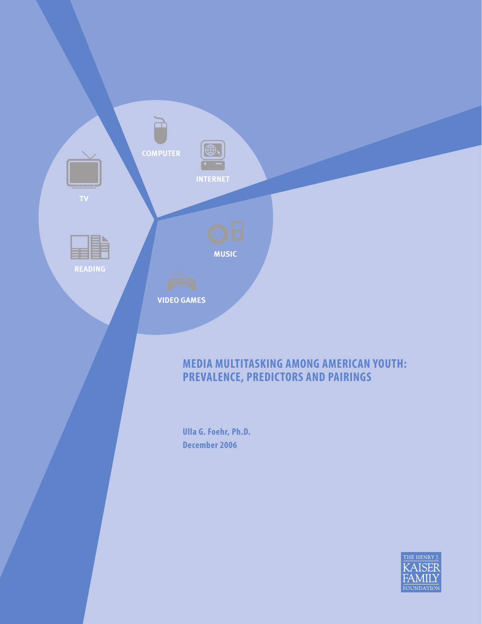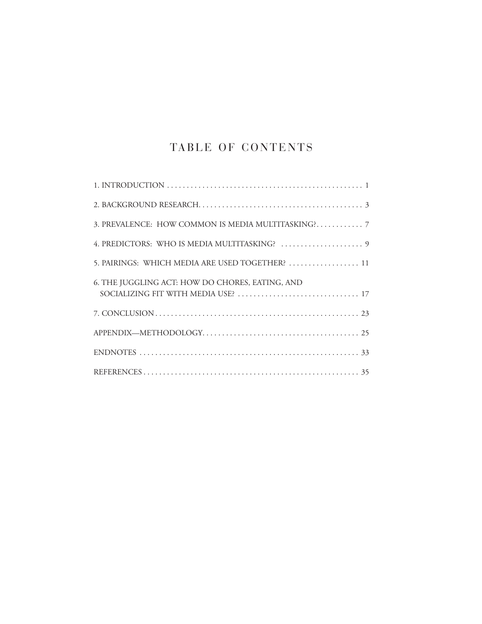# TABLE OF CONTENTS

| 5. PAIRINGS: WHICH MEDIA ARE USED TOGETHER?  11 |
|-------------------------------------------------|
| 6. THE JUGGLING ACT: HOW DO CHORES, EATING, AND |
|                                                 |
|                                                 |
|                                                 |
|                                                 |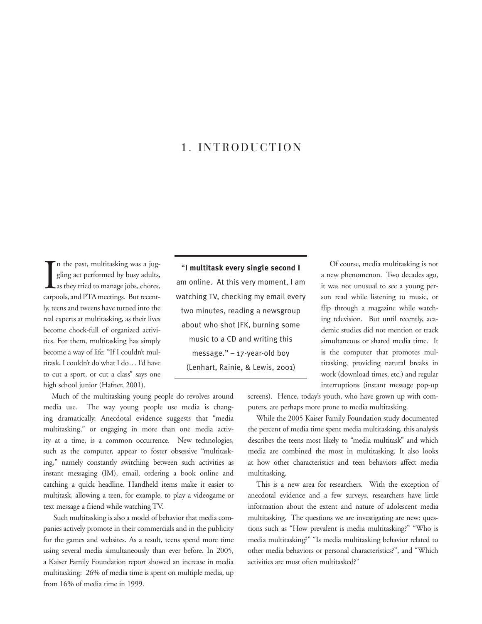## 1. INTRODUCTION

In the past, multitasking was a juggling act performed by busy adults, as they tried to manage jobs, chores, carpools, and PTA meetings. But recentn the past, multitasking was a juggling act performed by busy adults, as they tried to manage jobs, chores, ly, teens and tweens have turned into the real experts at multitasking, as their lives become chock-full of organized activities. For them, multitasking has simply become a way of life: "If I couldn't multitask, I couldn't do what I do… I'd have to cut a sport, or cut a class" says one high school junior (Hafner, 2001).

"**I multitask every single second I**  am online. At this very moment, I am watching TV, checking my email every two minutes, reading a newsgroup about who shot JFK, burning some music to a CD and writing this message." – 17-year-old boy (Lenhart, Rainie, & Lewis, 2001)

Of course, media multitasking is not a new phenomenon. Two decades ago, it was not unusual to see a young person read while listening to music, or flip through a magazine while watching television. But until recently, academic studies did not mention or track simultaneous or shared media time. It is the computer that promotes multitasking, providing natural breaks in work (download times, etc.) and regular interruptions (instant message pop-up

screens). Hence, today's youth, who have grown up with computers, are perhaps more prone to media multitasking.

While the 2005 Kaiser Family Foundation study documented the percent of media time spent media multitasking, this analysis describes the teens most likely to "media multitask" and which media are combined the most in multitasking. It also looks at how other characteristics and teen behaviors affect media multitasking.

This is a new area for researchers. With the exception of anecdotal evidence and a few surveys, researchers have little information about the extent and nature of adolescent media multitasking. The questions we are investigating are new: questions such as "How prevalent is media multitasking?" "Who is media multitasking?" "Is media multitasking behavior related to other media behaviors or personal characteristics?", and "Which activities are most often multitasked?"

Much of the multitasking young people do revolves around media use. The way young people use media is changing dramatically. Anecdotal evidence suggests that "media multitasking," or engaging in more than one media activity at a time, is a common occurrence. New technologies, such as the computer, appear to foster obsessive "multitasking," namely constantly switching between such activities as instant messaging (IM), email, ordering a book online and catching a quick headline. Handheld items make it easier to multitask, allowing a teen, for example, to play a videogame or text message a friend while watching TV.

 Such multitasking is also a model of behavior that media companies actively promote in their commercials and in the publicity for the games and websites. As a result, teens spend more time using several media simultaneously than ever before. In 2005, a Kaiser Family Foundation report showed an increase in media multitasking: 26% of media time is spent on multiple media, up from 16% of media time in 1999.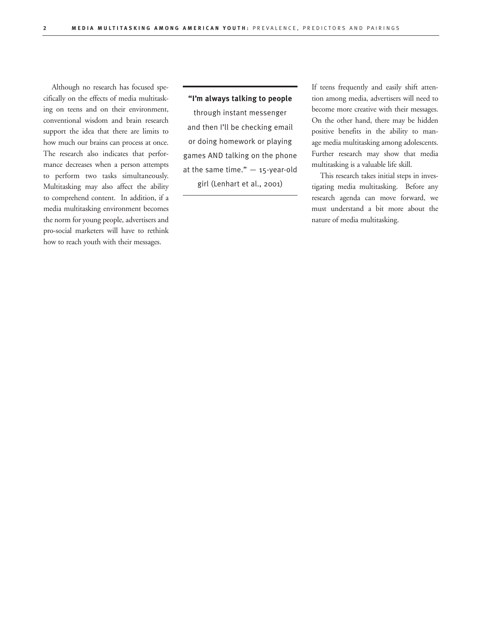Although no research has focused specifically on the effects of media multitasking on teens and on their environment, conventional wisdom and brain research support the idea that there are limits to how much our brains can process at once. The research also indicates that performance decreases when a person attempts to perform two tasks simultaneously. Multitasking may also affect the ability to comprehend content. In addition, if a media multitasking environment becomes the norm for young people, advertisers and pro-social marketers will have to rethink how to reach youth with their messages.

### **"I'm always talking to people**

through instant messenger and then I'll be checking email or doing homework or playing games AND talking on the phone at the same time."  $-$  15-year-old girl (Lenhart et al., 2001)

If teens frequently and easily shift attention among media, advertisers will need to become more creative with their messages. On the other hand, there may be hidden positive benefits in the ability to manage media multitasking among adolescents. Further research may show that media multitasking is a valuable life skill.

This research takes initial steps in investigating media multitasking. Before any research agenda can move forward, we must understand a bit more about the nature of media multitasking.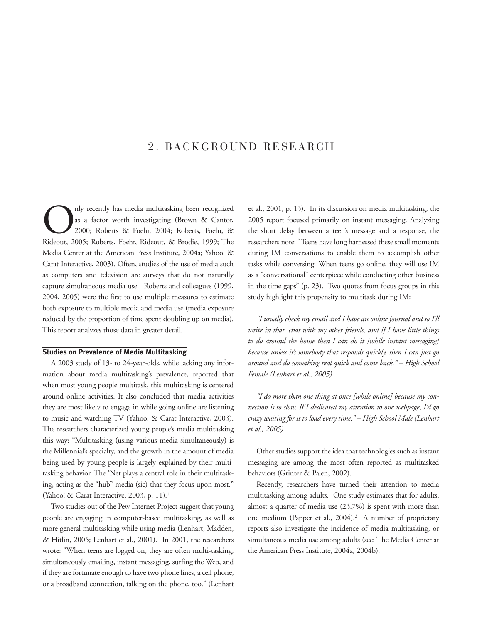## 2. BACKGROUND RESEARCH

Only recently has media multitasking been recognized<br>as a factor worth investigating (Brown & Cantor,<br>2000; Roberts & Foehr, 2004; Roberts, Foehr, & as a factor worth investigating (Brown & Cantor, 2000; Roberts & Foehr, 2004; Roberts, Foehr, & Rideout, 2005; Roberts, Foehr, Rideout, & Brodie, 1999; The Media Center at the American Press Institute, 2004a; Yahoo! & Carat Interactive, 2003). Often, studies of the use of media such as computers and television are surveys that do not naturally capture simultaneous media use. Roberts and colleagues (1999, 2004, 2005) were the first to use multiple measures to estimate both exposure to multiple media and media use (media exposure reduced by the proportion of time spent doubling up on media). This report analyzes those data in greater detail.

### **Studies on Prevalence of Media Multitasking**

A 2003 study of 13- to 24-year-olds, while lacking any information about media multitasking's prevalence, reported that when most young people multitask, this multitasking is centered around online activities. It also concluded that media activities they are most likely to engage in while going online are listening to music and watching TV (Yahoo! & Carat Interactive, 2003). The researchers characterized young people's media multitasking this way: "Multitasking (using various media simultaneously) is the Millennial's specialty, and the growth in the amount of media being used by young people is largely explained by their multitasking behavior. The 'Net plays a central role in their multitasking, acting as the "hub" media (sic) that they focus upon most." (Yahoo! & Carat Interactive, 2003, p. 11).<sup>1</sup>

Two studies out of the Pew Internet Project suggest that young people are engaging in computer-based multitasking, as well as more general multitasking while using media (Lenhart, Madden, & Hitlin, 2005; Lenhart et al., 2001). In 2001, the researchers wrote: "When teens are logged on, they are often multi-tasking, simultaneously emailing, instant messaging, surfing the Web, and if they are fortunate enough to have two phone lines, a cell phone, or a broadband connection, talking on the phone, too." (Lenhart et al., 2001, p. 13). In its discussion on media multitasking, the 2005 report focused primarily on instant messaging. Analyzing the short delay between a teen's message and a response, the researchers note: "Teens have long harnessed these small moments during IM conversations to enable them to accomplish other tasks while conversing. When teens go online, they will use IM as a "conversational" centerpiece while conducting other business in the time gaps" (p. 23). Two quotes from focus groups in this study highlight this propensity to multitask during IM:

*"I usually check my email and I have an online journal and so I'll write in that, chat with my other friends, and if I have little things to do around the house then I can do it [while instant messaging] because unless it's somebody that responds quickly, then I can just go around and do something real quick and come back." – High School Female (Lenhart et al., 2005)*

*"I do more than one thing at once [while online] because my connection is so slow. If I dedicated my attention to one webpage, I'd go crazy waiting for it to load every time." – High School Male (Lenhart et al., 2005)*

Other studies support the idea that technologies such as instant messaging are among the most often reported as multitasked behaviors (Grinter & Palen, 2002).

Recently, researchers have turned their attention to media multitasking among adults. One study estimates that for adults, almost a quarter of media use (23.7%) is spent with more than one medium (Papper et al., 2004).<sup>2</sup> A number of proprietary reports also investigate the incidence of media multitasking, or simultaneous media use among adults (see: The Media Center at the American Press Institute, 2004a, 2004b).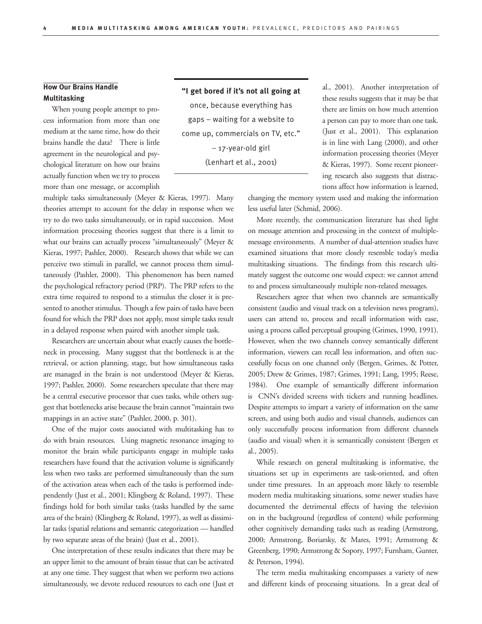### **How Our Brains Handle Multitasking**

When young people attempt to process information from more than one medium at the same time, how do their brains handle the data? There is little agreement in the neurological and psychological literature on how our brains actually function when we try to process more than one message, or accomplish

multiple tasks simultaneously (Meyer & Kieras, 1997). Many theories attempt to account for the delay in response when we try to do two tasks simultaneously, or in rapid succession. Most information processing theories suggest that there is a limit to what our brains can actually process "simultaneously" (Meyer & Kieras, 1997; Pashler, 2000). Research shows that while we can perceive two stimuli in parallel, we cannot process them simultaneously (Pashler, 2000). This phenomenon has been named the psychological refractory period (PRP). The PRP refers to the extra time required to respond to a stimulus the closer it is presented to another stimulus. Though a few pairs of tasks have been found for which the PRP does not apply, most simple tasks result in a delayed response when paired with another simple task.

Researchers are uncertain about what exactly causes the bottleneck in processing. Many suggest that the bottleneck is at the retrieval, or action planning, stage, but how simultaneous tasks are managed in the brain is not understood (Meyer & Kieras, 1997; Pashler, 2000). Some researchers speculate that there may be a central executive processor that cues tasks, while others suggest that bottlenecks arise because the brain cannot "maintain two mappings in an active state" (Pashler, 2000, p. 301).

One of the major costs associated with multitasking has to do with brain resources. Using magnetic resonance imaging to monitor the brain while participants engage in multiple tasks researchers have found that the activation volume is significantly less when two tasks are performed simultaneously than the sum of the activation areas when each of the tasks is performed independently (Just et al., 2001; Klingberg & Roland, 1997). These findings hold for both similar tasks (tasks handled by the same area of the brain) (Klingberg & Roland, 1997), as well as dissimilar tasks (spatial relations and semantic categorization — handled by two separate areas of the brain) (Just et al., 2001).

One interpretation of these results indicates that there may be an upper limit to the amount of brain tissue that can be activated at any one time. They suggest that when we perform two actions simultaneously, we devote reduced resources to each one (Just et

**"I get bored if it's not all going at**  once, because everything has gaps – waiting for a website to come up, commercials on TV, etc." – 17-year-old girl

(Lenhart et al., 2001)

al., 2001). Another interpretation of these results suggests that it may be that there are limits on how much attention a person can pay to more than one task. (Just et al., 2001). This explanation is in line with Lang (2000), and other information processing theories (Meyer & Kieras, 1997). Some recent pioneering research also suggests that distractions affect how information is learned,

changing the memory system used and making the information less useful later (Schmid, 2006).

More recently, the communication literature has shed light on message attention and processing in the context of multiplemessage environments. A number of dual-attention studies have examined situations that more closely resemble today's media multitasking situations. The findings from this research ultimately suggest the outcome one would expect: we cannot attend to and process simultaneously multiple non-related messages.

Researchers agree that when two channels are semantically consistent (audio and visual track on a television news program), users can attend to, process and recall information with ease, using a process called perceptual grouping (Grimes, 1990, 1991). However, when the two channels convey semantically different information, viewers can recall less information, and often successfully focus on one channel only (Bergen, Grimes, & Potter, 2005; Drew & Grimes, 1987; Grimes, 1991; Lang, 1995; Reese, 1984). One example of semantically different information is CNN's divided screens with tickers and running headlines. Despite attempts to impart a variety of information on the same screen, and using both audio and visual channels, audiences can only successfully process information from different channels (audio and visual) when it is semantically consistent (Bergen et al., 2005).

While research on general multitasking is informative, the situations set up in experiments are task-oriented, and often under time pressures. In an approach more likely to resemble modern media multitasking situations, some newer studies have documented the detrimental effects of having the television on in the background (regardless of content) while performing other cognitively demanding tasks such as reading (Armstrong, 2000; Armstrong, Boriarsky, & Mares, 1991; Armstrong & Greenberg, 1990; Armstrong & Sopory, 1997; Furnham, Gunter, & Peterson, 1994).

The term media multitasking encompasses a variety of new and different kinds of processing situations. In a great deal of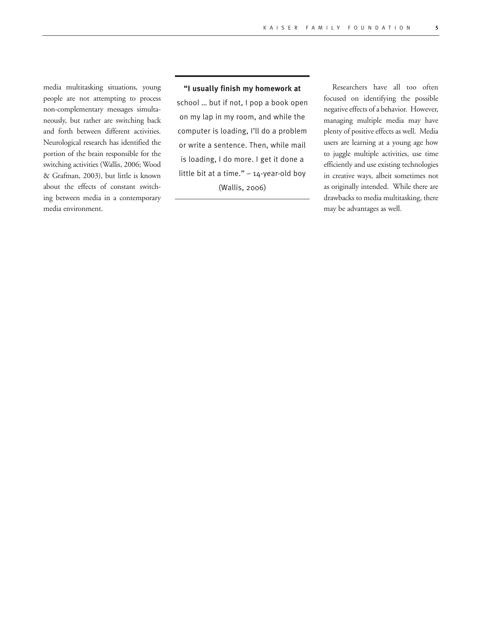media multitasking situations, young people are not attempting to process non-complementary messages simultaneously, but rather are switching back and forth between different activities. Neurological research has identified the portion of the brain responsible for the switching activities (Wallis, 2006; Wood & Grafman, 2003), but little is known about the effects of constant switching between media in a contemporary media environment.

### **"I usually finish my homework at**

school … but if not, I pop a book open on my lap in my room, and while the computer is loading, I'll do a problem or write a sentence. Then, while mail is loading, I do more. I get it done a little bit at a time."  $-14$ -year-old boy (Wallis, 2006)

Researchers have all too often focused on identifying the possible negative effects of a behavior. However, managing multiple media may have plenty of positive effects as well. Media users are learning at a young age how to juggle multiple activities, use time efficiently and use existing technologies in creative ways, albeit sometimes not as originally intended. While there are drawbacks to media multitasking, there may be advantages as well.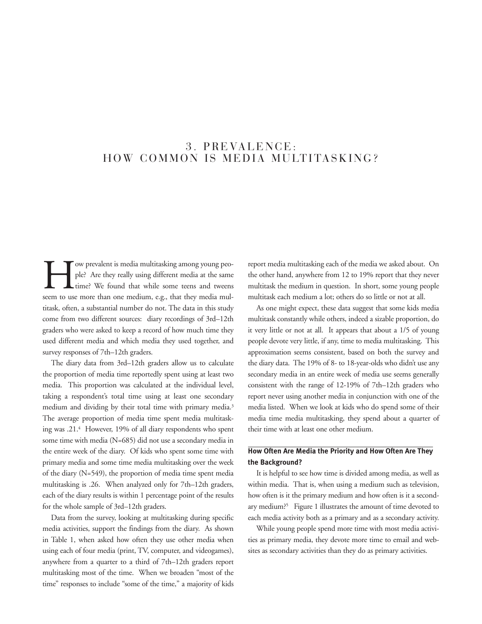## 3. PREVALENCE: HOW COMMON IS MEDIA MULTITASKING?

Tow prevalent is media multitasking among young peo-<br>ple? Are they really using different media at the same<br>time? We found that while some teens and tweens<br>seem to use more than one medium, e.g., that they media mulple? Are they really using different media at the same time? We found that while some teens and tweens seem to use more than one medium, e.g., that they media multitask, often, a substantial number do not. The data in this study come from two different sources: diary recordings of 3rd–12th graders who were asked to keep a record of how much time they used different media and which media they used together, and survey responses of 7th–12th graders.

The diary data from 3rd–12th graders allow us to calculate the proportion of media time reportedly spent using at least two media. This proportion was calculated at the individual level, taking a respondent's total time using at least one secondary medium and dividing by their total time with primary media.3 The average proportion of media time spent media multitasking was .21.4 However, 19% of all diary respondents who spent some time with media (N=685) did not use a secondary media in the entire week of the diary. Of kids who spent some time with primary media and some time media multitasking over the week of the diary (N=549), the proportion of media time spent media multitasking is .26. When analyzed only for 7th–12th graders, each of the diary results is within 1 percentage point of the results for the whole sample of 3rd–12th graders.

Data from the survey, looking at multitasking during specific media activities, support the findings from the diary. As shown in Table 1, when asked how often they use other media when using each of four media (print, TV, computer, and videogames), anywhere from a quarter to a third of 7th–12th graders report multitasking most of the time. When we broaden "most of the time" responses to include "some of the time," a majority of kids

report media multitasking each of the media we asked about. On the other hand, anywhere from 12 to 19% report that they never multitask the medium in question. In short, some young people multitask each medium a lot; others do so little or not at all.

As one might expect, these data suggest that some kids media multitask constantly while others, indeed a sizable proportion, do it very little or not at all. It appears that about a 1/5 of young people devote very little, if any, time to media multitasking. This approximation seems consistent, based on both the survey and the diary data. The 19% of 8- to 18-year-olds who didn't use any secondary media in an entire week of media use seems generally consistent with the range of 12-19% of 7th–12th graders who report never using another media in conjunction with one of the media listed. When we look at kids who do spend some of their media time media multitasking, they spend about a quarter of their time with at least one other medium.

### **How Often Are Media the Priority and How Often Are They the Background?**

It is helpful to see how time is divided among media, as well as within media. That is, when using a medium such as television, how often is it the primary medium and how often is it a secondary medium?5 Figure 1 illustrates the amount of time devoted to each media activity both as a primary and as a secondary activity.

While young people spend more time with most media activities as primary media, they devote more time to email and websites as secondary activities than they do as primary activities.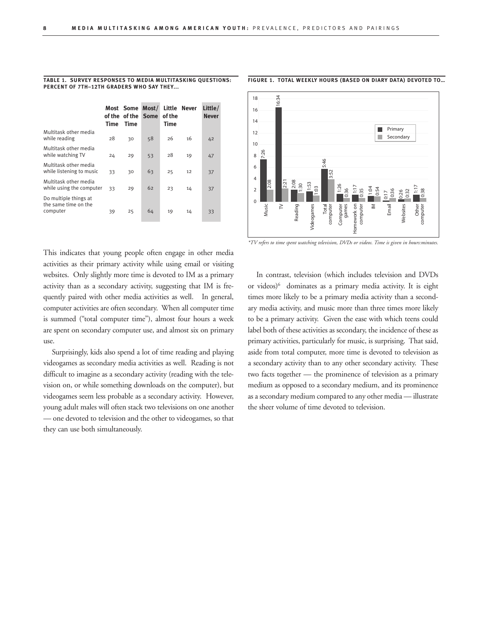|                                                           | Time | Most Some<br>of the of the<br>Time | Most/<br><b>Some</b> | of the<br><b>Time</b> | Little Never | Little/<br><b>Never</b> |  |
|-----------------------------------------------------------|------|------------------------------------|----------------------|-----------------------|--------------|-------------------------|--|
| Multitask other media<br>while reading                    | 28   | 30                                 | 58                   | 26                    | 16           | 42                      |  |
| Multitask other media<br>while watching TV                | 24   | 29                                 | 53                   | 28                    | 19           | 47                      |  |
| Multitask other media<br>while listening to music         | 33   | 30                                 | 63                   | 25                    | 12           | 37                      |  |
| Multitask other media<br>while using the computer         | 33   | 29                                 | 62                   | 23                    | 14           | 37                      |  |
| Do multiple things at<br>the same time on the<br>computer | 39   | 25                                 | 64                   | 19                    | 14           | 33                      |  |

#### **Table 1. Survey responses to Media Multitasking Questions: percent of 7th–12th graders who say they...**

This indicates that young people often engage in other media activities as their primary activity while using email or visiting websites. Only slightly more time is devoted to IM as a primary activity than as a secondary activity, suggesting that IM is frequently paired with other media activities as well. In general, computer activities are often secondary. When all computer time is summed ("total computer time"), almost four hours a week are spent on secondary computer use, and almost six on primary use.

Surprisingly, kids also spend a lot of time reading and playing videogames as secondary media activities as well. Reading is not difficult to imagine as a secondary activity (reading with the television on, or while something downloads on the computer), but videogames seem less probable as a secondary activity. However, young adult males will often stack two televisions on one another — one devoted to television and the other to videogames, so that they can use both simultaneously.



**figure 1. Total weekly hours (based on diary data) devoted to…**

#### *\*TV refers to time spent watching television, DVDs or videos. Time is given in hours:minutes.*

In contrast, television (which includes television and DVDs or videos)<sup>6</sup> dominates as a primary media activity. It is eight times more likely to be a primary media activity than a secondary media activity, and music more than three times more likely to be a primary activity. Given the ease with which teens could label both of these activities as secondary, the incidence of these as primary activities, particularly for music, is surprising. That said, aside from total computer, more time is devoted to television as a secondary activity than to any other secondary activity. These two facts together — the prominence of television as a primary medium as opposed to a secondary medium, and its prominence as a secondary medium compared to any other media — illustrate the sheer volume of time devoted to television.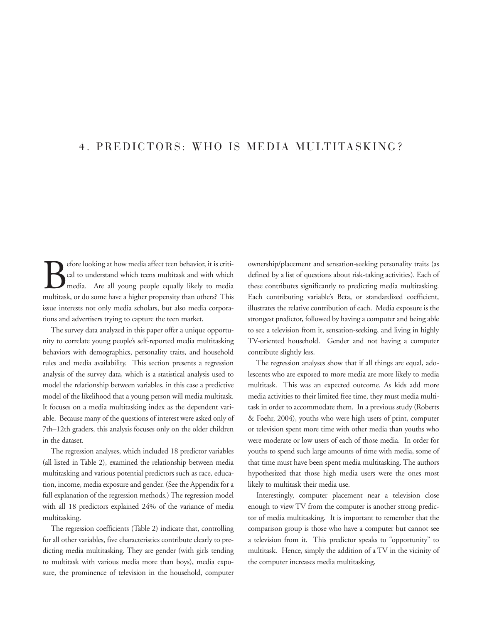## 4. PREDICTORS: WHO IS MEDIA MULTITASKING?

**B**efore looking at how media affect teen behavior, it is critical to understand which teens multitask and with which media. Are all young people equally likely to media multitask or do some have a higher propensity than o cal to understand which teens multitask and with which media. Are all young people equally likely to media multitask, or do some have a higher propensity than others? This issue interests not only media scholars, but also media corporations and advertisers trying to capture the teen market.

The survey data analyzed in this paper offer a unique opportunity to correlate young people's self-reported media multitasking behaviors with demographics, personality traits, and household rules and media availability. This section presents a regression analysis of the survey data, which is a statistical analysis used to model the relationship between variables, in this case a predictive model of the likelihood that a young person will media multitask. It focuses on a media multitasking index as the dependent variable. Because many of the questions of interest were asked only of 7th–12th graders, this analysis focuses only on the older children in the dataset.

The regression analyses, which included 18 predictor variables (all listed in Table 2), examined the relationship between media multitasking and various potential predictors such as race, education, income, media exposure and gender. (See the Appendix for a full explanation of the regression methods.) The regression model with all 18 predictors explained 24% of the variance of media multitasking.

The regression coefficients (Table 2) indicate that, controlling for all other variables, five characteristics contribute clearly to predicting media multitasking. They are gender (with girls tending to multitask with various media more than boys), media exposure, the prominence of television in the household, computer ownership/placement and sensation-seeking personality traits (as defined by a list of questions about risk-taking activities). Each of these contributes significantly to predicting media multitasking. Each contributing variable's Beta, or standardized coefficient, illustrates the relative contribution of each. Media exposure is the strongest predictor, followed by having a computer and being able to see a television from it, sensation-seeking, and living in highly TV-oriented household. Gender and not having a computer contribute slightly less.

The regression analyses show that if all things are equal, adolescents who are exposed to more media are more likely to media multitask. This was an expected outcome. As kids add more media activities to their limited free time, they must media multitask in order to accommodate them. In a previous study (Roberts & Foehr, 2004), youths who were high users of print, computer or television spent more time with other media than youths who were moderate or low users of each of those media. In order for youths to spend such large amounts of time with media, some of that time must have been spent media multitasking. The authors hypothesized that those high media users were the ones most likely to multitask their media use.

Interestingly, computer placement near a television close enough to view TV from the computer is another strong predictor of media multitasking. It is important to remember that the comparison group is those who have a computer but cannot see a television from it. This predictor speaks to "opportunity" to multitask. Hence, simply the addition of a TV in the vicinity of the computer increases media multitasking.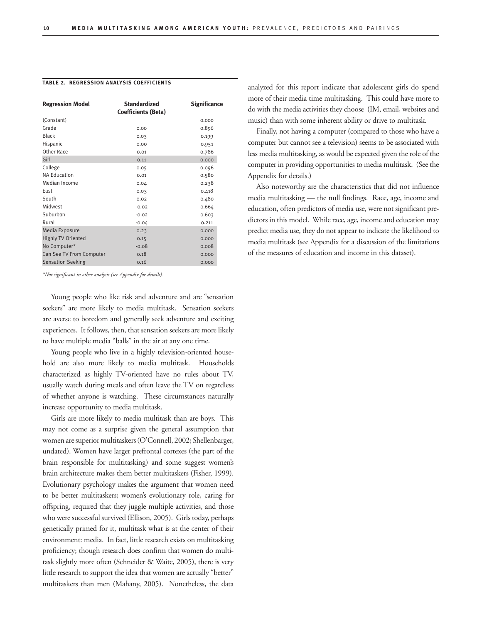| <b>Regression Model</b>   | <b>Standardized</b><br><b>Coefficients (Beta)</b> | <b>Significance</b> |
|---------------------------|---------------------------------------------------|---------------------|
| (Constant)                |                                                   | 0.000               |
| Grade                     | 0.00                                              | 0.896               |
| <b>Black</b>              | 0.03                                              | 0.199               |
| Hispanic                  | 0.00                                              | 0.951               |
| Other Race                | 0.01                                              | 0.786               |
| Girl                      | 0.11                                              | 0.000               |
| College                   | 0.05                                              | 0.096               |
| <b>NA Education</b>       | 0.01                                              | 0.580               |
| Median Income             | 0.04                                              | 0.238               |
| East                      | 0.03                                              | 0.418               |
| South                     | 0.02                                              | 0.480               |
| Midwest                   | $-0.02$                                           | 0.664               |
| Suburban                  | $-0.02$                                           | 0.603               |
| Rural                     | $-0.04$                                           | 0.211               |
| Media Exposure            | 0.23                                              | 0.000               |
| <b>Highly TV Oriented</b> | 0.15                                              | 0.000               |
| No Computer*              | $-0.08$                                           | 0.008               |
| Can See TV From Computer  | 0.18                                              | 0.000               |
| <b>Sensation Seeking</b>  | 0.16                                              | 0.000               |

#### **Table 2. Regression Analysis Coefficients**

*\*Not significant in other analysis (see Appendix for details).*

Young people who like risk and adventure and are "sensation seekers" are more likely to media multitask. Sensation seekers are averse to boredom and generally seek adventure and exciting experiences. It follows, then, that sensation seekers are more likely to have multiple media "balls" in the air at any one time.

Young people who live in a highly television-oriented household are also more likely to media multitask. Households characterized as highly TV-oriented have no rules about TV, usually watch during meals and often leave the TV on regardless of whether anyone is watching. These circumstances naturally increase opportunity to media multitask.

Girls are more likely to media multitask than are boys. This may not come as a surprise given the general assumption that women are superior multitaskers (O'Connell, 2002; Shellenbarger, undated). Women have larger prefrontal cortexes (the part of the brain responsible for multitasking) and some suggest women's brain architecture makes them better multitaskers (Fisher, 1999). Evolutionary psychology makes the argument that women need to be better multitaskers; women's evolutionary role, caring for offspring, required that they juggle multiple activities, and those who were successful survived (Ellison, 2005). Girls today, perhaps genetically primed for it, multitask what is at the center of their environment: media. In fact, little research exists on multitasking proficiency; though research does confirm that women do multitask slightly more often (Schneider & Waite, 2005), there is very little research to support the idea that women are actually "better" multitaskers than men (Mahany, 2005). Nonetheless, the data analyzed for this report indicate that adolescent girls do spend more of their media time multitasking. This could have more to do with the media activities they choose (IM, email, websites and music) than with some inherent ability or drive to multitask.

Finally, not having a computer (compared to those who have a computer but cannot see a television) seems to be associated with less media multitasking, as would be expected given the role of the computer in providing opportunities to media multitask. (See the Appendix for details.)

Also noteworthy are the characteristics that did not influence media multitasking — the null findings. Race, age, income and education, often predictors of media use, were not significant predictors in this model. While race, age, income and education may predict media use, they do not appear to indicate the likelihood to media multitask (see Appendix for a discussion of the limitations of the measures of education and income in this dataset).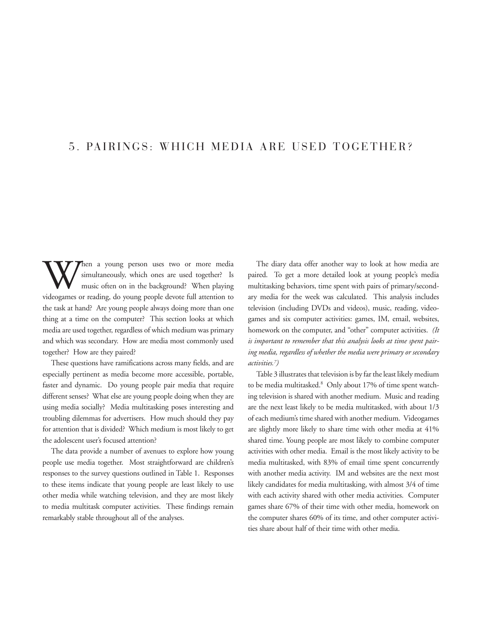## 5. PAIRINGS: WHICH MEDIA ARE USED TOGETHER?

W fien a young person uses two or more media<br>simultaneously, which ones are used together? Is<br>music often on in the background? When playing<br>videogames or reading do young people devote full attention to simultaneously, which ones are used together? Is music often on in the background? When playing videogames or reading, do young people devote full attention to the task at hand? Are young people always doing more than one thing at a time on the computer? This section looks at which media are used together, regardless of which medium was primary and which was secondary. How are media most commonly used together? How are they paired?

These questions have ramifications across many fields, and are especially pertinent as media become more accessible, portable, faster and dynamic. Do young people pair media that require different senses? What else are young people doing when they are using media socially? Media multitasking poses interesting and troubling dilemmas for advertisers. How much should they pay for attention that is divided? Which medium is most likely to get the adolescent user's focused attention?

The data provide a number of avenues to explore how young people use media together. Most straightforward are children's responses to the survey questions outlined in Table 1. Responses to these items indicate that young people are least likely to use other media while watching television, and they are most likely to media multitask computer activities. These findings remain remarkably stable throughout all of the analyses.

The diary data offer another way to look at how media are paired. To get a more detailed look at young people's media multitasking behaviors, time spent with pairs of primary/secondary media for the week was calculated. This analysis includes television (including DVDs and videos), music, reading, videogames and six computer activities: games, IM, email, websites, homework on the computer, and "other" computer activities. *(It is important to remember that this analysis looks at time spent pairing media, regardless of whether the media were primary or secondary activities.7 )* 

Table 3 illustrates that television is by far the least likely medium to be media multitasked.<sup>8</sup> Only about 17% of time spent watching television is shared with another medium. Music and reading are the next least likely to be media multitasked, with about 1/3 of each medium's time shared with another medium. Videogames are slightly more likely to share time with other media at 41% shared time. Young people are most likely to combine computer activities with other media. Email is the most likely activity to be media multitasked, with 83% of email time spent concurrently with another media activity. IM and websites are the next most likely candidates for media multitasking, with almost 3/4 of time with each activity shared with other media activities. Computer games share 67% of their time with other media, homework on the computer shares 60% of its time, and other computer activities share about half of their time with other media.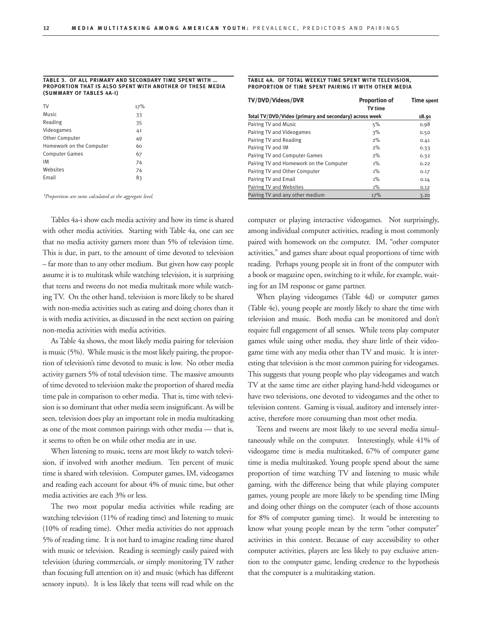#### **Table 3. of all primary and secondary time spent with … proportion that is also spent with another of these media (summary of tables 4a-I)**

| 17% |
|-----|
| 33  |
| 35  |
| 41  |
| 49  |
| 60  |
| 67  |
| 74  |
| 74  |
| 83  |
|     |

*\*Proportions are sums calculated at the aggregate level.*

Tables 4a-i show each media activity and how its time is shared with other media activities. Starting with Table 4a, one can see that no media activity garners more than 5% of television time. This is due, in part, to the amount of time devoted to television – far more than to any other medium. But given how easy people assume it is to multitask while watching television, it is surprising that teens and tweens do not media multitask more while watching TV. On the other hand, television is more likely to be shared with non-media activities such as eating and doing chores than it is with media activities, as discussed in the next section on pairing non-media activities with media activities.

As Table 4a shows, the most likely media pairing for television is music (5%). While music is the most likely pairing, the proportion of television's time devoted to music is low. No other media activity garners 5% of total television time. The massive amounts of time devoted to television make the proportion of shared media time pale in comparison to other media. That is, time with television is so dominant that other media seem insignificant. As will be seen, television does play an important role in media multitasking as one of the most common pairings with other media — that is, it seems to often be on while other media are in use.

When listening to music, teens are most likely to watch television, if involved with another medium. Ten percent of music time is shared with television. Computer games, IM, videogames and reading each account for about 4% of music time, but other media activities are each 3% or less.

The two most popular media activities while reading are watching television (11% of reading time) and listening to music (10% of reading time). Other media activities do not approach 5% of reading time. It is not hard to imagine reading time shared with music or television. Reading is seemingly easily paired with television (during commercials, or simply monitoring TV rather than focusing full attention on it) and music (which has different sensory inputs). It is less likely that teens will read while on the

#### **Table 4a. Of total weekly time spent with television, proportion of time SPENT PAIRING IT WITH OTHER MEDIA**

| TV/DVD/Videos/DVR                                      | <b>Proportion of</b><br><b>TV</b> time | <b>Time spent</b> |
|--------------------------------------------------------|----------------------------------------|-------------------|
| Total TV/DVD/Video (primary and secondary) across week |                                        | 18.91             |
| Pairing TV and Music                                   | 5%                                     | 0.98              |
| Pairing TV and Videogames                              | 3%                                     | 0.50              |
| Pairing TV and Reading                                 | 2%                                     | 0.41              |
| Pairing TV and IM                                      | 2%                                     | 0.33              |
| Pairing TV and Computer Games                          | 2%                                     | 0.32              |
| Pairing TV and Homework on the Computer                | $1\%$                                  | 0.22              |
| Pairing TV and Other Computer                          | $1\%$                                  | 0.17              |
| Pairing TV and Email                                   | $1\%$                                  | 0.14              |
| Pairing TV and Websites                                | $1\%$                                  | 0.12              |
| Pairing TV and any other medium                        | 17%                                    | 3.20              |

computer or playing interactive videogames. Not surprisingly, among individual computer activities, reading is most commonly paired with homework on the computer. IM, "other computer activities," and games share about equal proportions of time with reading. Perhaps young people sit in front of the computer with a book or magazine open, switching to it while, for example, waiting for an IM response or game partner.

When playing videogames (Table 4d) or computer games (Table 4e), young people are mostly likely to share the time with television and music. Both media can be monitored and don't require full engagement of all senses. While teens play computer games while using other media, they share little of their videogame time with any media other than TV and music. It is interesting that television is the most common pairing for videogames. This suggests that young people who play videogames and watch TV at the same time are either playing hand-held videogames or have two televisions, one devoted to videogames and the other to television content. Gaming is visual, auditory and intensely interactive, therefore more consuming than most other media.

Teens and tweens are most likely to use several media simultaneously while on the computer. Interestingly, while 41% of videogame time is media multitasked, 67% of computer game time is media multitasked. Young people spend about the same proportion of time watching TV and listening to music while gaming, with the difference being that while playing computer games, young people are more likely to be spending time IMing and doing other things on the computer (each of those accounts for 8% of computer gaming time). It would be interesting to know what young people mean by the term "other computer" activities in this context. Because of easy accessibility to other computer activities, players are less likely to pay exclusive attention to the computer game, lending credence to the hypothesis that the computer is a multitasking station.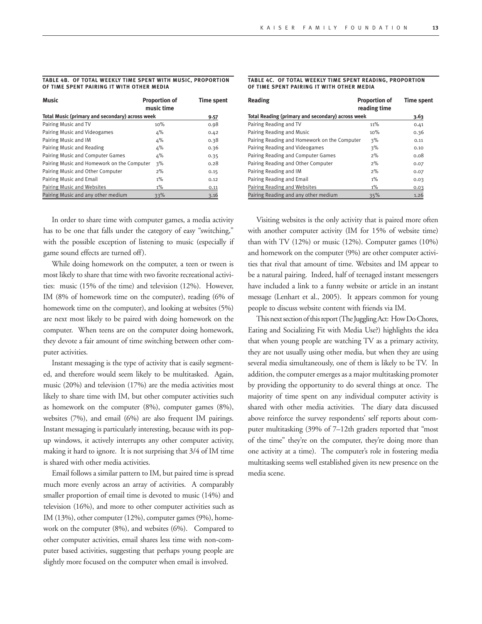#### **Table 4b. Of total weekly time spent with music, proportion of time spent pairing it with other media**

| Music                                           | <b>Proportion of</b><br>music time | <b>Time spent</b> |
|-------------------------------------------------|------------------------------------|-------------------|
| Total Music (primary and secondary) across week |                                    | 9.57              |
| Pairing Music and TV                            | 10%                                | 0.98              |
| Pairing Music and Videogames                    | 4%                                 | 0.42              |
| Pairing Music and IM                            | 4%                                 | 0.38              |
| Pairing Music and Reading                       | 4%                                 | 0.36              |
| Pairing Music and Computer Games                | 4%                                 | 0.35              |
| Pairing Music and Homework on the Computer      | 3%                                 | 0.28              |
| Pairing Music and Other Computer                | $2\%$                              | 0.15              |
| Pairing Music and Email                         | $1\%$                              | 0.12              |
| Pairing Music and Websites                      | $1\%$                              | 0.11              |
| Pairing Music and any other medium              | 33%                                | 3.16              |

In order to share time with computer games, a media activity has to be one that falls under the category of easy "switching," with the possible exception of listening to music (especially if game sound effects are turned off).

While doing homework on the computer, a teen or tween is most likely to share that time with two favorite recreational activities: music (15% of the time) and television (12%). However, IM (8% of homework time on the computer), reading (6% of homework time on the computer), and looking at websites (5%) are next most likely to be paired with doing homework on the computer. When teens are on the computer doing homework, they devote a fair amount of time switching between other computer activities.

Instant messaging is the type of activity that is easily segmented, and therefore would seem likely to be multitasked. Again, music (20%) and television (17%) are the media activities most likely to share time with IM, but other computer activities such as homework on the computer (8%), computer games (8%), websites (7%), and email (6%) are also frequent IM pairings. Instant messaging is particularly interesting, because with its popup windows, it actively interrupts any other computer activity, making it hard to ignore. It is not surprising that 3/4 of IM time is shared with other media activities.

Email follows a similar pattern to IM, but paired time is spread much more evenly across an array of activities. A comparably smaller proportion of email time is devoted to music (14%) and television (16%), and more to other computer activities such as IM (13%), other computer (12%), computer games (9%), homework on the computer (8%), and websites (6%). Compared to other computer activities, email shares less time with non-computer based activities, suggesting that perhaps young people are slightly more focused on the computer when email is involved.

#### **Table 4c. Of total weekly time spent reading, proportion of time spent pairing it with other media**

| Reading                                           | <b>Proportion of</b><br>reading time | <b>Time spent</b> |
|---------------------------------------------------|--------------------------------------|-------------------|
| Total Reading (primary and secondary) across week |                                      | 3.63              |
| Pairing Reading and TV                            | 11%                                  | 0.41              |
| Pairing Reading and Music                         | 10%                                  | 0.36              |
| Pairing Reading and Homework on the Computer      | 3%                                   | 0.11              |
| Pairing Reading and Videogames                    | 3%                                   | 0.10              |
| Pairing Reading and Computer Games                | $2\%$                                | 0.08              |
| Pairing Reading and Other Computer                | $2\%$                                | 0.07              |
| Pairing Reading and IM                            | 2%                                   | 0.07              |
| Pairing Reading and Email                         | $1\%$                                | 0.03              |
| Pairing Reading and Websites                      | $1\%$                                | 0.03              |
| Pairing Reading and any other medium              | 35%                                  | 1.26              |

Visiting websites is the only activity that is paired more often with another computer activity (IM for 15% of website time) than with TV (12%) or music (12%). Computer games (10%) and homework on the computer (9%) are other computer activities that rival that amount of time. Websites and IM appear to be a natural pairing. Indeed, half of teenaged instant messengers have included a link to a funny website or article in an instant message (Lenhart et al., 2005). It appears common for young people to discuss website content with friends via IM.

This next section of this report (The Juggling Act: How Do Chores, Eating and Socializing Fit with Media Use?) highlights the idea that when young people are watching TV as a primary activity, they are not usually using other media, but when they are using several media simultaneously, one of them is likely to be TV. In addition, the computer emerges as a major multitasking promoter by providing the opportunity to do several things at once. The majority of time spent on any individual computer activity is shared with other media activities. The diary data discussed above reinforce the survey respondents' self reports about computer multitasking (39% of 7–12th graders reported that "most of the time" they're on the computer, they're doing more than one activity at a time). The computer's role in fostering media multitasking seems well established given its new presence on the media scene.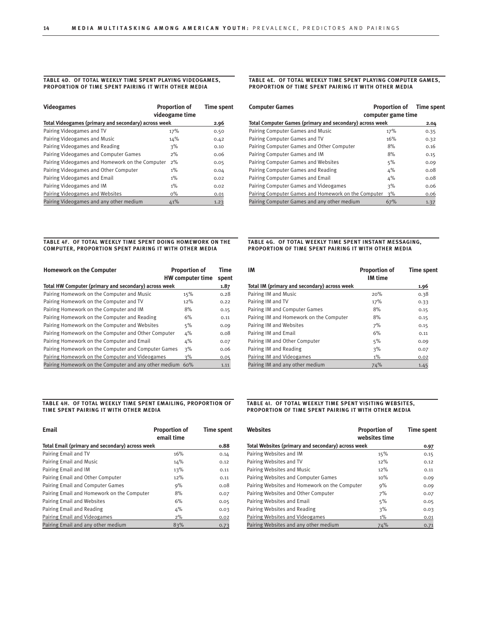#### **Table 4d. Of total weekly time spent playing videogames, pro portion of time spent pairing it with other media**

| <b>Videogames</b>                                    | <b>Proportion of</b><br>videogame time | <b>Time spent</b> |
|------------------------------------------------------|----------------------------------------|-------------------|
| Total Videogames (primary and secondary) across week |                                        | 2.96              |
| Pairing Videogames and TV                            | 17%                                    | 0.50              |
| Pairing Videogames and Music                         | 14%                                    | 0.42              |
| Pairing Videogames and Reading                       | 3%                                     | 0.10              |
| Pairing Videogames and Computer Games                | 2%                                     | 0.06              |
| Pairing Videogames and Homework on the Computer      | 2%                                     | 0.05              |
| Pairing Videogames and Other Computer                | $1\%$                                  | 0.04              |
| Pairing Videogames and Email                         | $1\%$                                  | 0.02              |
| Pairing Videogames and IM                            | $1\%$                                  | 0.02              |
| Pairing Videogames and Websites                      | $0\%$                                  | 0.01              |
| Pairing Videogames and any other medium              | 41%                                    | 1.23              |

#### **Table 4E. Of total weekly time spent playing computer games, pro portion of time spent pairing it with other media**

| <b>Computer Games</b>                                    | <b>Proportion of</b><br>computer game time | <b>Time spent</b> |
|----------------------------------------------------------|--------------------------------------------|-------------------|
| Total Computer Games (primary and secondary) across week |                                            | 2.04              |
| Pairing Computer Games and Music                         | 17%                                        | 0.35              |
| Pairing Computer Games and TV                            | 16%                                        | 0.32              |
| Pairing Computer Games and Other Computer                | 8%                                         | 0.16              |
| Pairing Computer Games and IM                            | 8%                                         | 0.15              |
| Pairing Computer Games and Websites                      | 5%                                         | 0.09              |
| Pairing Computer Games and Reading                       | 4%                                         | 0.08              |
| Pairing Computer Games and Email                         | 4%                                         | 0.08              |
| Pairing Computer Games and Videogames                    | 3%                                         | 0.06              |
| Pairing Computer Games and Homework on the Computer      | 3%                                         | 0.06              |
| Pairing Computer Games and any other medium              | 67%                                        | 1.37              |

#### **Table 4f. Of total weekly time spent doing homework on the computer, proportion spent pairing it with other media**

| <b>Homework on the Computer</b>                       | <b>Proportion of</b><br><b>HW</b> computer time | Time<br>spent |
|-------------------------------------------------------|-------------------------------------------------|---------------|
| Total HW Computer (primary and secondary) across week |                                                 | 1.87          |
| Pairing Homework on the Computer and Music            | 15%                                             | 0.28          |
| Pairing Homework on the Computer and TV               | 12%                                             | 0.22          |
| Pairing Homework on the Computer and IM               | 8%                                              | 0.15          |
| Pairing Homework on the Computer and Reading          | 6%                                              | 0.11          |
| Pairing Homework on the Computer and Websites         | 5%                                              | 0.09          |
| Pairing Homework on the Computer and Other Computer   | 4%                                              | 0.08          |
| Pairing Homework on the Computer and Email            | 4%                                              | 0.07          |
| Pairing Homework on the Computer and Computer Games   | 3%                                              | 0.06          |
| Pairing Homework on the Computer and Videogames       | 3%                                              | 0.05          |
| Pairing Homework on the Computer and any other medium | 60%                                             | 1.11          |

#### **Table 4H. Of total weekly time spent emailing, proportion of time spent pairing it with other media**

| <b>Email</b>                                    | <b>Proportion of</b><br>email time | <b>Time spent</b> |
|-------------------------------------------------|------------------------------------|-------------------|
| Total Email (primary and secondary) across week |                                    | 0.88              |
| Pairing Email and TV                            | 16%                                | 0.14              |
| Pairing Email and Music                         | 14%                                | 0.12              |
| Pairing Email and IM                            | 13%                                | 0.11              |
| Pairing Email and Other Computer                | 12%                                | 0.11              |
| Pairing Email and Computer Games                | 9%                                 | 0.08              |
| Pairing Email and Homework on the Computer      | 8%                                 | 0.07              |
| Pairing Email and Websites                      | 6%                                 | 0.05              |
| Pairing Email and Reading                       | $4\%$                              | 0.03              |
| Pairing Email and Videogames                    | 2%                                 | 0.02              |
| Pairing Email and any other medium              | 83%                                | 0.73              |

#### **Table 4g. Of total weekly time spent Instant Messaging, pro portion of time spent pairing it with other media**

| IМ                                           | <b>Proportion of</b><br><b>IM time</b> | <b>Time spent</b> |
|----------------------------------------------|----------------------------------------|-------------------|
| Total IM (primary and secondary) across week |                                        | 1.96              |
| Pairing IM and Music                         | 20%                                    | 0.38              |
| Pairing IM and TV                            | 17%                                    | 0.33              |
| Pairing IM and Computer Games                | 8%                                     | 0.15              |
| Pairing IM and Homework on the Computer      | 8%                                     | 0.15              |
| Pairing IM and Websites                      | 7%                                     | 0.15              |
| Pairing IM and Email                         | 6%                                     | 0.11              |
| Pairing IM and Other Computer                | 5%                                     | 0.09              |
| Pairing IM and Reading                       | 3%                                     | 0.07              |
| Pairing IM and Videogames                    | $1\%$                                  | 0.02              |
| Pairing IM and any other medium              | 74%                                    | 1.45              |

#### **Table 4I. Of total weekly time spent visiting websites, pro portion of time spent pairing it with other media**

| <b>Websites</b>                                    | <b>Proportion of</b><br>websites time | <b>Time spent</b> |
|----------------------------------------------------|---------------------------------------|-------------------|
| Total Websites (primary and secondary) across week |                                       | 0.97              |
| Pairing Websites and IM                            | 15%                                   | 0.15              |
| Pairing Websites and TV                            | 12%                                   | 0.12              |
| Pairing Websites and Music                         | 12%                                   | 0.11              |
| Pairing Websites and Computer Games                | 10%                                   | 0.09              |
| Pairing Websites and Homework on the Computer      | 9%                                    | 0.09              |
| Pairing Websites and Other Computer                | 7%                                    | 0.07              |
| Pairing Websites and Email                         | 5%                                    | 0.05              |
| Pairing Websites and Reading                       | 3%                                    | 0.03              |
| Pairing Websites and Videogames                    | $1\%$                                 | 0.01              |
| Pairing Websites and any other medium              | 74%                                   | 0.71              |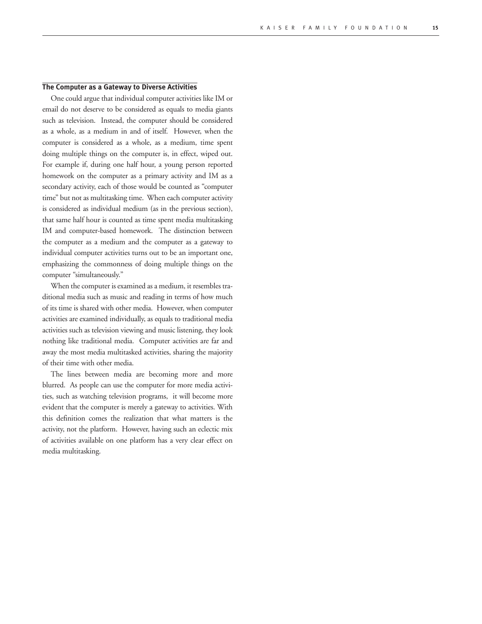#### **The Computer as a Gateway to Diverse Activities**

One could argue that individual computer activities like IM or email do not deserve to be considered as equals to media giants such as television. Instead, the computer should be considered as a whole, as a medium in and of itself. However, when the computer is considered as a whole, as a medium, time spent doing multiple things on the computer is, in effect, wiped out. For example if, during one half hour, a young person reported homework on the computer as a primary activity and IM as a secondary activity, each of those would be counted as "computer time" but not as multitasking time. When each computer activity is considered as individual medium (as in the previous section), that same half hour is counted as time spent media multitasking IM and computer-based homework. The distinction between the computer as a medium and the computer as a gateway to individual computer activities turns out to be an important one, emphasizing the commonness of doing multiple things on the computer "simultaneously."

When the computer is examined as a medium, it resembles traditional media such as music and reading in terms of how much of its time is shared with other media. However, when computer activities are examined individually, as equals to traditional media activities such as television viewing and music listening, they look nothing like traditional media. Computer activities are far and away the most media multitasked activities, sharing the majority of their time with other media.

The lines between media are becoming more and more blurred. As people can use the computer for more media activities, such as watching television programs, it will become more evident that the computer is merely a gateway to activities. With this definition comes the realization that what matters is the activity, not the platform. However, having such an eclectic mix of activities available on one platform has a very clear effect on media multitasking.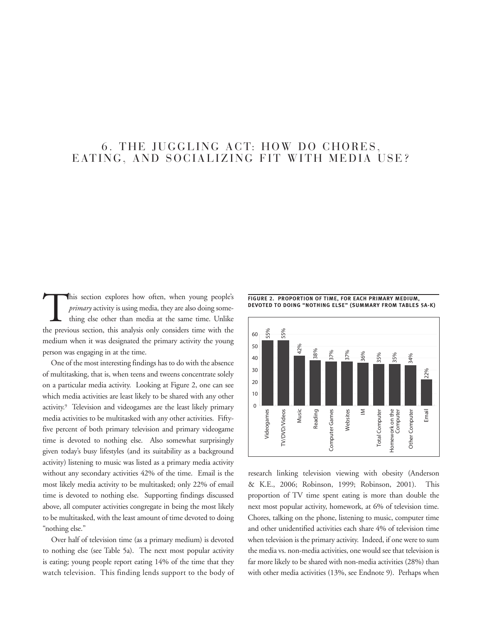## 6. THE JUGGLING ACT: HOW DO CHORES. EATING, AND SOCIALIZING FIT WITH MEDIA USE?

THE SECTION OF TIME, FOR EACH PRIMARY MEDIUM,<br> *primary* activity is using media, they are also doing some-<br>
THE SECTION OF TIME, FOR EACH PRIMARY FROM TABLES 5A-K)<br>
THE SECTION OF TIME, FOR EACH PRIMARY MEDIUM,<br>
THE SECTI *primary* activity is using media, they are also doing something else other than media at the same time. Unlike the previous section, this analysis only considers time with the medium when it was designated the primary activity the young person was engaging in at the time.

One of the most interesting findings has to do with the absence of multitasking, that is, when teens and tweens concentrate solely on a particular media activity. Looking at Figure 2, one can see which media activities are least likely to be shared with any other activity.<sup>9</sup> Television and videogames are the least likely primary media activities to be multitasked with any other activities. Fiftyfive percent of both primary television and primary videogame time is devoted to nothing else. Also somewhat surprisingly given today's busy lifestyles (and its suitability as a background activity) listening to music was listed as a primary media activity without any secondary activities 42% of the time. Email is the most likely media activity to be multitasked; only 22% of email time is devoted to nothing else. Supporting findings discussed above, all computer activities congregate in being the most likely to be multitasked, with the least amount of time devoted to doing "nothing else."

Over half of television time (as a primary medium) is devoted to nothing else (see Table 5a). The next most popular activity is eating; young people report eating 14% of the time that they watch television. This finding lends support to the body of **Figure 2. Proportion of time, for each primary medium,** 



research linking television viewing with obesity (Anderson & K.E., 2006; Robinson, 1999; Robinson, 2001). This proportion of TV time spent eating is more than double the next most popular activity, homework, at 6% of television time. Chores, talking on the phone, listening to music, computer time and other unidentified activities each share 4% of television time when television is the primary activity. Indeed, if one were to sum the media vs. non-media activities, one would see that television is far more likely to be shared with non-media activities (28%) than with other media activities (13%, see Endnote 9). Perhaps when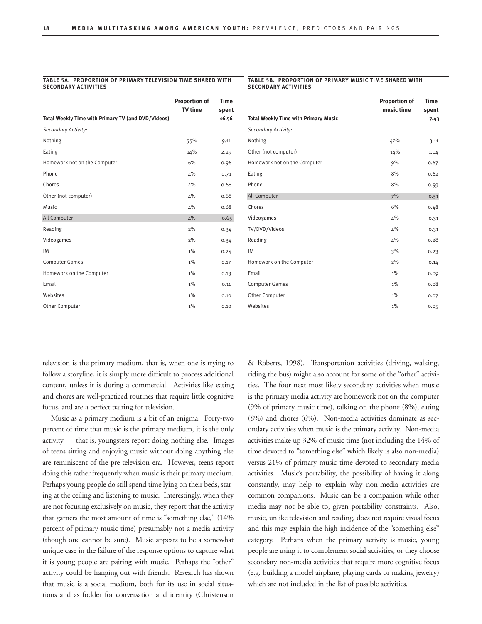#### **Table 5a. Proportion of primary Television time Shared with Secondary Activities**

#### **Table 5b. Proportion of primary Music time Shared with Secondary Activities**

|                                                    | <b>Proportion of</b> | Time  |
|----------------------------------------------------|----------------------|-------|
|                                                    | <b>TV</b> time       | spent |
| Total Weekly Time with Primary TV (and DVD/Videos) |                      | 16.56 |
| Secondary Activity:                                |                      |       |
| Nothing                                            | 55%                  | 9.11  |
| Eating                                             | 14%                  | 2.29  |
| Homework not on the Computer                       | 6%                   | 0.96  |
| Phone                                              | 4%                   | 0.71  |
| Chores                                             | 4%                   | 0.68  |
| Other (not computer)                               | 4%                   | 0.68  |
| <b>Music</b>                                       | 4%                   | 0.68  |
| All Computer                                       | 4%                   | 0.65  |
| Reading                                            | 2%                   | 0.34  |
| Videogames                                         | 2%                   | 0.34  |
| IM                                                 | $1\%$                | 0.24  |
| <b>Computer Games</b>                              | $1\%$                | 0.17  |
| Homework on the Computer                           | $1\%$                | 0.13  |
| Email                                              | $1\%$                | 0.11  |
| Websites                                           | $1\%$                | 0.10  |
| Other Computer                                     | $1\%$                | 0.10  |

|                                             | <b>Proportion of</b><br>music time | <b>Time</b><br>spent |
|---------------------------------------------|------------------------------------|----------------------|
| <b>Total Weekly Time with Primary Music</b> |                                    | 7.43                 |
| Secondary Activity:                         |                                    |                      |
| Nothing                                     | 42%                                | 3.11                 |
| Other (not computer)                        | 14%                                | 1.04                 |
| Homework not on the Computer                | 9%                                 | 0.67                 |
| Eating                                      | 8%                                 | 0.62                 |
| Phone                                       | 8%                                 | 0.59                 |
| All Computer                                | 7%                                 | 0.51                 |
| Chores                                      | 6%                                 | 0.48                 |
| Videogames                                  | 4%                                 | 0.31                 |
| TV/DVD/Videos                               | 4%                                 | 0.31                 |
| Reading                                     | 4%                                 | 0.28                 |
| IM                                          | 3%                                 | 0.23                 |
| Homework on the Computer                    | 2%                                 | 0.14                 |
| Email                                       | $1\%$                              | 0.09                 |
| <b>Computer Games</b>                       | $1\%$                              | 0.08                 |
| Other Computer                              | $1\%$                              | 0.07                 |
| Websites                                    | $1\%$                              | 0.05                 |

television is the primary medium, that is, when one is trying to follow a storyline, it is simply more difficult to process additional content, unless it is during a commercial. Activities like eating and chores are well-practiced routines that require little cognitive focus, and are a perfect pairing for television.

Music as a primary medium is a bit of an enigma. Forty-two percent of time that music is the primary medium, it is the only activity — that is, youngsters report doing nothing else. Images of teens sitting and enjoying music without doing anything else are reminiscent of the pre-television era. However, teens report doing this rather frequently when music is their primary medium. Perhaps young people do still spend time lying on their beds, staring at the ceiling and listening to music. Interestingly, when they are not focusing exclusively on music, they report that the activity that garners the most amount of time is "something else," (14% percent of primary music time) presumably not a media activity (though one cannot be sure). Music appears to be a somewhat unique case in the failure of the response options to capture what it is young people are pairing with music. Perhaps the "other" activity could be hanging out with friends. Research has shown that music is a social medium, both for its use in social situations and as fodder for conversation and identity (Christenson

& Roberts, 1998). Transportation activities (driving, walking, riding the bus) might also account for some of the "other" activities. The four next most likely secondary activities when music is the primary media activity are homework not on the computer (9% of primary music time), talking on the phone (8%), eating (8%) and chores (6%). Non-media activities dominate as secondary activities when music is the primary activity. Non-media activities make up 32% of music time (not including the 14% of time devoted to "something else" which likely is also non-media) versus 21% of primary music time devoted to secondary media activities. Music's portability, the possibility of having it along constantly, may help to explain why non-media activities are common companions. Music can be a companion while other media may not be able to, given portability constraints. Also, music, unlike television and reading, does not require visual focus and this may explain the high incidence of the "something else" category. Perhaps when the primary activity is music, young people are using it to complement social activities, or they choose secondary non-media activities that require more cognitive focus (e.g. building a model airplane, playing cards or making jewelry) which are not included in the list of possible activities.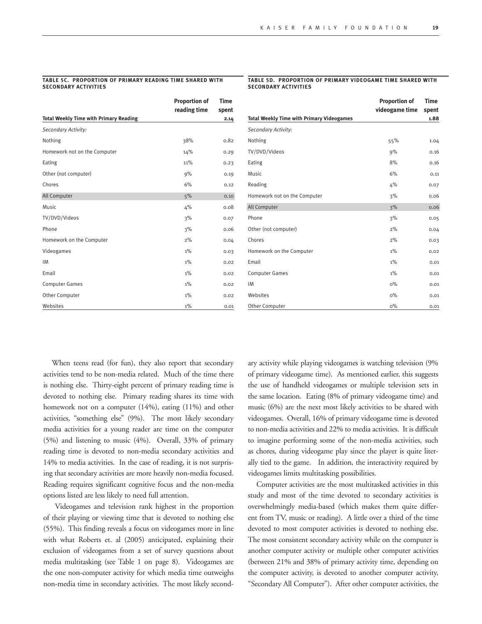#### **Table 5c. Proportion of primary Reading time Shared with Secondary Activities**

#### **Table 5d. Proportion of primary Videogame time Shared with Secondary Activities**

|                                               | <b>Proportion of</b> | <b>Time</b> |
|-----------------------------------------------|----------------------|-------------|
|                                               | reading time         | spent       |
| <b>Total Weekly Time with Primary Reading</b> |                      | 2.14        |
| Secondary Activity:                           |                      |             |
| Nothing                                       | 38%                  | 0.82        |
| Homework not on the Computer                  | 14%                  | 0.29        |
| Eating                                        | 11%                  | 0.23        |
| Other (not computer)                          | 9%                   | 0.19        |
| Chores                                        | 6%                   | 0.12        |
| All Computer                                  | 5%                   | 0.10        |
| Music                                         | 4%                   | 0.08        |
| TV/DVD/Videos                                 | 3%                   | 0.07        |
| Phone                                         | 3%                   | 0.06        |
| Homework on the Computer                      | 2%                   | 0.04        |
| Videogames                                    | $1\%$                | 0.03        |
| IM                                            | $1\%$                | 0.02        |
| Email                                         | $1\%$                | 0.02        |
| <b>Computer Games</b>                         | $1\%$                | 0.02        |
| Other Computer                                | $1\%$                | 0.02        |
| Websites                                      | $1\%$                | 0.01        |

|                                                  | <b>Proportion of</b><br>videogame time | <b>Time</b><br>spent |
|--------------------------------------------------|----------------------------------------|----------------------|
| <b>Total Weekly Time with Primary Videogames</b> |                                        | 1.88                 |
| Secondary Activity:                              |                                        |                      |
| Nothing                                          | 55%                                    | 1.04                 |
| TV/DVD/Videos                                    | 9%                                     | 0.16                 |
| Eating                                           | 8%                                     | 0.16                 |
| Music                                            | 6%                                     | 0.11                 |
| Reading                                          | 4%                                     | 0.07                 |
| Homework not on the Computer                     | 3%                                     | 0.06                 |
| All Computer                                     | 3%                                     | 0.06                 |
| Phone                                            | 3%                                     | 0.05                 |
| Other (not computer)                             | 2%                                     | 0.04                 |
| Chores                                           | 2%                                     | 0.03                 |
| Homework on the Computer                         | $1\%$                                  | 0.02                 |
| Email                                            | $1\%$                                  | 0.01                 |
| <b>Computer Games</b>                            | $1\%$                                  | 0.01                 |
| <b>IM</b>                                        | $0\%$                                  | 0.01                 |
| Websites                                         | $0\%$                                  | 0.01                 |
| Other Computer                                   | $0\%$                                  | 0.01                 |

When teens read (for fun), they also report that secondary activities tend to be non-media related. Much of the time there is nothing else. Thirty-eight percent of primary reading time is devoted to nothing else. Primary reading shares its time with homework not on a computer (14%), eating (11%) and other activities, "something else" (9%). The most likely secondary media activities for a young reader are time on the computer (5%) and listening to music (4%). Overall, 33% of primary reading time is devoted to non-media secondary activities and 14% to media activities. In the case of reading, it is not surprising that secondary activities are more heavily non-media focused. Reading requires significant cognitive focus and the non-media options listed are less likely to need full attention.

Videogames and television rank highest in the proportion of their playing or viewing time that is devoted to nothing else (55%). This finding reveals a focus on videogames more in line with what Roberts et. al (2005) anticipated, explaining their exclusion of videogames from a set of survey questions about media multitasking (see Table 1 on page 8). Videogames are the one non-computer activity for which media time outweighs non-media time in secondary activities. The most likely secondary activity while playing videogames is watching television (9% of primary videogame time). As mentioned earlier, this suggests the use of handheld videogames or multiple television sets in the same location. Eating (8% of primary videogame time) and music (6%) are the next most likely activities to be shared with videogames. Overall, 16% of primary videogame time is devoted to non-media activities and 22% to media activities. It is difficult to imagine performing some of the non-media activities, such as chores, during videogame play since the player is quite literally tied to the game. In addition, the interactivity required by videogames limits multitasking possibilities.

Computer activities are the most multitasked activities in this study and most of the time devoted to secondary activities is overwhelmingly media-based (which makes them quite different from TV, music or reading). A little over a third of the time devoted to most computer activities is devoted to nothing else. The most consistent secondary activity while on the computer is another computer activity or multiple other computer activities (between 21% and 38% of primary activity time, depending on the computer activity, is devoted to another computer activity, "Secondary All Computer"). After other computer activities, the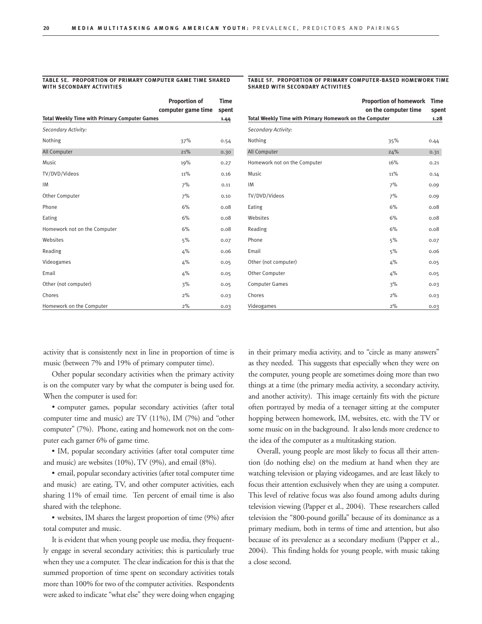#### **Table 5e. Proportion of primary Computer Game time Shared with Secondary Activities**

#### **Table 5f. Proportion of primary Computer-based Homework time Shared with Secondary Activities**

**Proportion of homework Time** 

|                                                      | <b>Proportion of</b> | <b>Time</b> |
|------------------------------------------------------|----------------------|-------------|
|                                                      | computer game time   | spent       |
| <b>Total Weekly Time with Primary Computer Games</b> |                      | 1.44        |
| Secondary Activity:                                  |                      |             |
| Nothing                                              | 37%                  | 0.54        |
| All Computer                                         | 21%                  | 0.30        |
| Music                                                | 19%                  | 0.27        |
| TV/DVD/Videos                                        | 11%                  | 0.16        |
| IM                                                   | 7%                   | 0.11        |
| Other Computer                                       | 7%                   | 0.10        |
| Phone                                                | 6%                   | 0.08        |
| Eating                                               | 6%                   | 0.08        |
| Homework not on the Computer                         | 6%                   | 0.08        |
| Websites                                             | 5%                   | 0.07        |
| Reading                                              | 4%                   | 0.06        |
| Videogames                                           | 4%                   | 0.05        |
| Email                                                | 4%                   | 0.05        |
| Other (not computer)                                 | 3%                   | 0.05        |
| Chores                                               | 2%                   | 0.03        |
| Homework on the Computer                             | 2%                   | 0.03        |

**on the computer time spent Total Weekly Time with Primary Homework on the Computer 1.28** *Secondary Activity:* Nothing  $35\%$  0.44 All Computer 24% 0.31 Homework not on the Computer 16% 16% 0.21 Music  $0.14$  $10M$  0.09 TV/DVD/Videos 2% 0.09 Eating 6% 0.08 Websites  $6\%$  0.08 Reading  $6\%$  0.08 Phone 6.07 Email  $5\%$  0.06 Other (not computer) and the computer of the contraction of the contraction of the contraction of the contraction of the contraction of the contraction of the contraction of the contraction of the contraction of the contra Other Computer 6.05 Computer Games 6.03  $\blacksquare$  2% 0.03 Videogames 2% 0.03

activity that is consistently next in line in proportion of time is music (between 7% and 19% of primary computer time).

Other popular secondary activities when the primary activity is on the computer vary by what the computer is being used for. When the computer is used for:

• computer games, popular secondary activities (after total computer time and music) are TV (11%), IM (7%) and "other computer" (7%). Phone, eating and homework not on the computer each garner 6% of game time.

• IM, popular secondary activities (after total computer time and music) are websites (10%), TV (9%), and email (8%).

• email, popular secondary activities (after total computer time and music) are eating, TV, and other computer activities, each sharing 11% of email time. Ten percent of email time is also shared with the telephone.

• websites, IM shares the largest proportion of time (9%) after total computer and music.

It is evident that when young people use media, they frequently engage in several secondary activities; this is particularly true when they use a computer. The clear indication for this is that the summed proportion of time spent on secondary activities totals more than 100% for two of the computer activities. Respondents were asked to indicate "what else" they were doing when engaging in their primary media activity, and to "circle as many answers" as they needed. This suggests that especially when they were on the computer, young people are sometimes doing more than two things at a time (the primary media activity, a secondary activity, and another activity). This image certainly fits with the picture often portrayed by media of a teenager sitting at the computer hopping between homework, IM, websites, etc. with the TV or some music on in the background. It also lends more credence to the idea of the computer as a multitasking station.

Overall, young people are most likely to focus all their attention (do nothing else) on the medium at hand when they are watching television or playing videogames, and are least likely to focus their attention exclusively when they are using a computer. This level of relative focus was also found among adults during television viewing (Papper et al., 2004). These researchers called television the "800-pound gorilla" because of its dominance as a primary medium, both in terms of time and attention, but also because of its prevalence as a secondary medium (Papper et al., 2004). This finding holds for young people, with music taking a close second.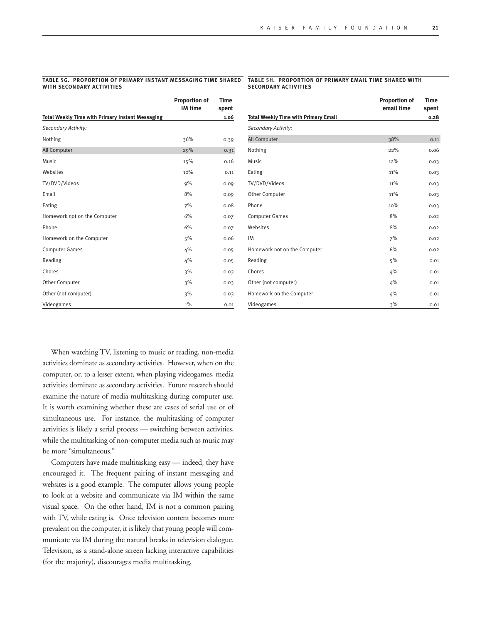#### **Table 5g. Proportion of primary Instant messaging time Shared with Secondary Activities**

#### **Table 5h. Proportion of primary Email time Shared with Secondary Activities**

|                                                         | <b>Proportion of</b><br><b>IM</b> time | <b>Time</b><br>spent |
|---------------------------------------------------------|----------------------------------------|----------------------|
| <b>Total Weekly Time with Primary Instant Messaging</b> |                                        | 1.06                 |
| Secondary Activity:                                     |                                        |                      |
| Nothing                                                 | 36%                                    | 0.39                 |
| All Computer                                            | 29%                                    | 0.31                 |
| <b>Music</b>                                            | 15%                                    | 0.16                 |
| Websites                                                | 10%                                    | 0.11                 |
| TV/DVD/Videos                                           | 9%                                     | 0.09                 |
| Email                                                   | 8%                                     | 0.09                 |
| Eating                                                  | 7%                                     | 0.08                 |
| Homework not on the Computer                            | 6%                                     | 0.07                 |
| Phone                                                   | 6%                                     | 0.07                 |
| Homework on the Computer                                | 5%                                     | 0.06                 |
| <b>Computer Games</b>                                   | 4%                                     | 0.05                 |
| Reading                                                 | 4%                                     | 0.05                 |
| Chores                                                  | 3%                                     | 0.03                 |
| Other Computer                                          | 3%                                     | 0.03                 |
| Other (not computer)                                    | 3%                                     | 0.03                 |
| Videogames                                              | $1\%$                                  | 0.01                 |

|                                             | <b>Proportion of</b><br>email time | <b>Time</b><br>spent |
|---------------------------------------------|------------------------------------|----------------------|
| <b>Total Weekly Time with Primary Email</b> |                                    | 0.28                 |
| Secondary Activity:                         |                                    |                      |
| All Computer                                | 38%                                | 0.11                 |
| Nothing                                     | 22%                                | 0.06                 |
| <b>Music</b>                                | 12%                                | 0.03                 |
| Eating                                      | 11%                                | 0.03                 |
| TV/DVD/Videos                               | 11%                                | 0.03                 |
| Other Computer                              | 11%                                | 0.03                 |
| Phone                                       | 10%                                | 0.03                 |
| <b>Computer Games</b>                       | 8%                                 | 0.02                 |
| Websites                                    | 8%                                 | 0.02                 |
| IM                                          | 7%                                 | 0.02                 |
| Homework not on the Computer                | 6%                                 | 0.02                 |
| Reading                                     | 5%                                 | 0.01                 |
| Chores                                      | 4%                                 | 0.01                 |
| Other (not computer)                        | 4%                                 | 0.01                 |
| Homework on the Computer                    | 4%                                 | 0.01                 |
| Videogames                                  | 3%                                 | 0.01                 |

When watching TV, listening to music or reading, non-media activities dominate as secondary activities. However, when on the computer, or, to a lesser extent, when playing videogames, media activities dominate as secondary activities. Future research should examine the nature of media multitasking during computer use. It is worth examining whether these are cases of serial use or of simultaneous use. For instance, the multitasking of computer activities is likely a serial process — switching between activities, while the multitasking of non-computer media such as music may be more "simultaneous."

Computers have made multitasking easy — indeed, they have encouraged it. The frequent pairing of instant messaging and websites is a good example. The computer allows young people to look at a website and communicate via IM within the same visual space. On the other hand, IM is not a common pairing with TV, while eating is. Once television content becomes more prevalent on the computer, it is likely that young people will communicate via IM during the natural breaks in television dialogue. Television, as a stand-alone screen lacking interactive capabilities (for the majority), discourages media multitasking.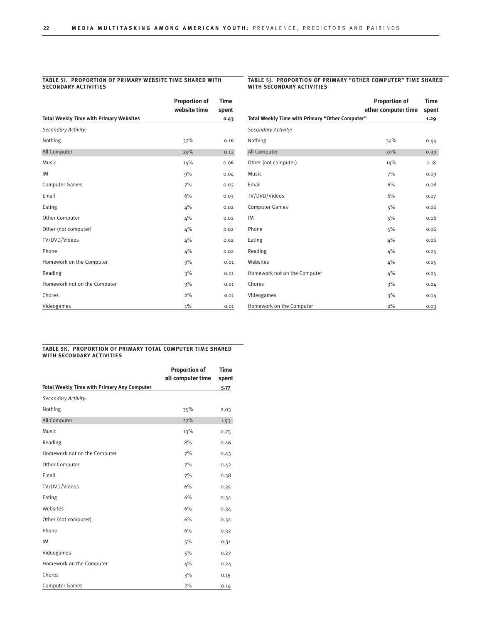#### **Table 5i. Proportion of primary Website time Shared with SECONDARY ACTIVIT**

#### **Table 5j. Proportion of primary "Other Computer" time Shared with Secondary Activities**

|                                                | <b>Proportion of</b> | Time  |
|------------------------------------------------|----------------------|-------|
|                                                | website time         | spent |
| <b>Total Weekly Time with Primary Websites</b> |                      | 0.43  |
| Secondary Activity:                            |                      |       |
| Nothing                                        | 37%                  | 0.16  |
| All Computer                                   | 29%                  | 0.12  |
| <b>Music</b>                                   | 14%                  | 0.06  |
| <b>IM</b>                                      | 9%                   | 0.04  |
| <b>Computer Games</b>                          | 7%                   | 0.03  |
| Email                                          | 6%                   | 0.03  |
| Eating                                         | 4%                   | 0.02  |
| Other Computer                                 | 4%                   | 0.02  |
| Other (not computer)                           | 4%                   | 0.02  |
| TV/DVD/Videos                                  | 4%                   | 0.02  |
| Phone                                          | 4%                   | 0.02  |
| Homework on the Computer                       | 3%                   | 0.01  |
| Reading                                        | 3%                   | 0.01  |
| Homework not on the Computer                   | 3%                   | 0.01  |
| Chores                                         | 2%                   | 0.01  |
| Videogames                                     | $1\%$                | 0.01  |

|                                                 | <b>Proportion of</b> | <b>Time</b> |
|-------------------------------------------------|----------------------|-------------|
|                                                 | other computer time  | spent       |
| Total Weekly Time with Primary "Other Computer" |                      | 1.29        |
| Secondary Activity:                             |                      |             |
| Nothing                                         | 34%                  | 0.44        |
| All Computer                                    | 30%                  | 0.39        |
| Other (not computer)                            | 14%                  | 0.18        |
| <b>Music</b>                                    | 7%                   | 0.09        |
| Email                                           | 6%                   | 0.08        |
| TV/DVD/Videos                                   | 6%                   | 0.07        |
| <b>Computer Games</b>                           | 5%                   | 0.06        |
| IM                                              | 5%                   | 0.06        |
| Phone                                           | 5%                   | 0.06        |
| Eating                                          | 4%                   | 0.06        |
| Reading                                         | 4%                   | 0.05        |
| Websites                                        | 4%                   | 0.05        |
| Homework not on the Computer                    | 4%                   | 0.05        |
| Chores                                          | 3%                   | 0.04        |
| Videogames                                      | 3%                   | 0.04        |
| Homework on the Computer                        | 2%                   | 0.03        |

#### **Table 5k. Proportion of primary Total Computer time Shared with Secondary Activities**

|                                                    | <b>Proportion of</b> | <b>Time</b> |
|----------------------------------------------------|----------------------|-------------|
|                                                    | all computer time    | spent       |
| <b>Total Weekly Time with Primary Any Computer</b> |                      | 5.77        |
| Secondary Activity:                                |                      |             |
| Nothing                                            | 35%                  | 2.03        |
| All Computer                                       | 27%                  | 1.53        |
| Music                                              | 13%                  | 0.75        |
| Reading                                            | 8%                   | 0.46        |
| Homework not on the Computer                       | 7%                   | 0.43        |
| Other Computer                                     | 7%                   | 0.42        |
| Email                                              | 7%                   | 0.38        |
| TV/DVD/Videos                                      | 6%                   | 0.35        |
| Eating                                             | 6%                   | 0.34        |
| Websites                                           | 6%                   | 0.34        |
| Other (not computer)                               | 6%                   | 0.34        |
| Phone                                              | 6%                   | 0.32        |
| <b>IM</b>                                          | 5%                   | 0.31        |
| Videogames                                         | 5%                   | 0.27        |
| Homework on the Computer                           | 4%                   | 0.24        |
| Chores                                             | 3%                   | 0.15        |
| <b>Computer Games</b>                              | 2%                   | 0.14        |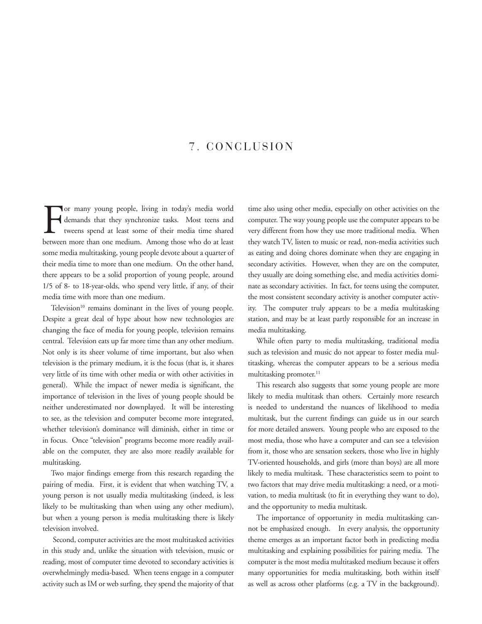## 7. CONCLUSION

For many young people, living in today's media world<br>demands that they synchronize tasks. Most teens and<br>tweens spend at least some of their media time shared<br>between more than one medium. Among those who do at least or many young people, living in today's media world demands that they synchronize tasks. Most teens and tweens spend at least some of their media time shared some media multitasking, young people devote about a quarter of their media time to more than one medium. On the other hand, there appears to be a solid proportion of young people, around 1/5 of 8- to 18-year-olds, who spend very little, if any, of their media time with more than one medium.

Television<sup>10</sup> remains dominant in the lives of young people. Despite a great deal of hype about how new technologies are changing the face of media for young people, television remains central. Television eats up far more time than any other medium. Not only is its sheer volume of time important, but also when television is the primary medium, it is the focus (that is, it shares very little of its time with other media or with other activities in general). While the impact of newer media is significant, the importance of television in the lives of young people should be neither underestimated nor downplayed. It will be interesting to see, as the television and computer become more integrated, whether television's dominance will diminish, either in time or in focus. Once "television" programs become more readily available on the computer, they are also more readily available for multitasking.

Two major findings emerge from this research regarding the pairing of media. First, it is evident that when watching TV, a young person is not usually media multitasking (indeed, is less likely to be multitasking than when using any other medium), but when a young person is media multitasking there is likely television involved.

 Second, computer activities are the most multitasked activities in this study and, unlike the situation with television, music or reading, most of computer time devoted to secondary activities is overwhelmingly media-based. When teens engage in a computer activity such as IM or web surfing, they spend the majority of that time also using other media, especially on other activities on the computer. The way young people use the computer appears to be very different from how they use more traditional media. When they watch TV, listen to music or read, non-media activities such as eating and doing chores dominate when they are engaging in secondary activities. However, when they are on the computer, they usually are doing something else, and media activities dominate as secondary activities. In fact, for teens using the computer, the most consistent secondary activity is another computer activity. The computer truly appears to be a media multitasking station, and may be at least partly responsible for an increase in media multitasking.

While often party to media multitasking, traditional media such as television and music do not appear to foster media multitasking, whereas the computer appears to be a serious media multitasking promoter.<sup>11</sup>

This research also suggests that some young people are more likely to media multitask than others. Certainly more research is needed to understand the nuances of likelihood to media multitask, but the current findings can guide us in our search for more detailed answers. Young people who are exposed to the most media, those who have a computer and can see a television from it, those who are sensation seekers, those who live in highly TV-oriented households, and girls (more than boys) are all more likely to media multitask. These characteristics seem to point to two factors that may drive media multitasking: a need, or a motivation, to media multitask (to fit in everything they want to do), and the opportunity to media multitask.

The importance of opportunity in media multitasking cannot be emphasized enough. In every analysis, the opportunity theme emerges as an important factor both in predicting media multitasking and explaining possibilities for pairing media. The computer is the most media multitasked medium because it offers many opportunities for media multitasking, both within itself as well as across other platforms (e.g. a TV in the background).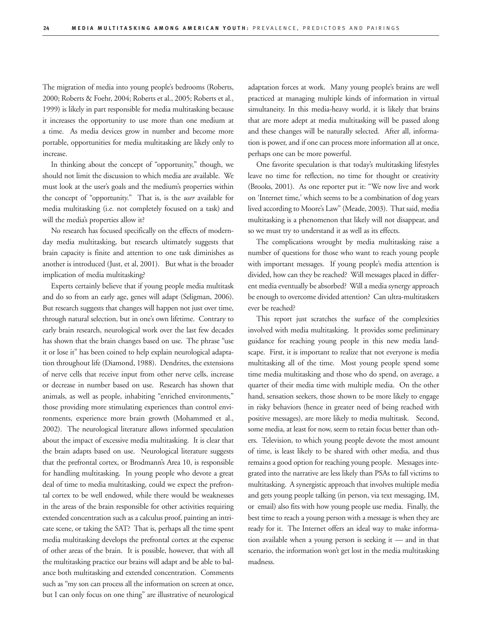The migration of media into young people's bedrooms (Roberts, 2000; Roberts & Foehr, 2004; Roberts et al., 2005; Roberts et al., 1999) is likely in part responsible for media multitasking because it increases the opportunity to use more than one medium at a time. As media devices grow in number and become more portable, opportunities for media multitasking are likely only to increase.

In thinking about the concept of "opportunity," though, we should not limit the discussion to which media are available. We must look at the user's goals and the medium's properties within the concept of "opportunity." That is, is the *user* available for media multitasking (i.e. not completely focused on a task) and will the media's properties allow it?

No research has focused specifically on the effects of modernday media multitasking, but research ultimately suggests that brain capacity is finite and attention to one task diminishes as another is introduced (Just, et al, 2001). But what is the broader implication of media multitasking?

Experts certainly believe that if young people media multitask and do so from an early age, genes will adapt (Seligman, 2006). But research suggests that changes will happen not just over time, through natural selection, but in one's own lifetime. Contrary to early brain research, neurological work over the last few decades has shown that the brain changes based on use. The phrase "use it or lose it" has been coined to help explain neurological adaptation throughout life (Diamond, 1988). Dendrites, the extensions of nerve cells that receive input from other nerve cells, increase or decrease in number based on use. Research has shown that animals, as well as people, inhabiting "enriched environments," those providing more stimulating experiences than control environments, experience more brain growth (Mohammed et al., 2002). The neurological literature allows informed speculation about the impact of excessive media multitasking. It is clear that the brain adapts based on use. Neurological literature suggests that the prefrontal cortex, or Brodmann's Area 10, is responsible for handling multitasking. In young people who devote a great deal of time to media multitasking, could we expect the prefrontal cortex to be well endowed, while there would be weaknesses in the areas of the brain responsible for other activities requiring extended concentration such as a calculus proof, painting an intricate scene, or taking the SAT? That is, perhaps all the time spent media multitasking develops the prefrontal cortex at the expense of other areas of the brain. It is possible, however, that with all the multitasking practice our brains will adapt and be able to balance both multitasking and extended concentration. Comments such as "my son can process all the information on screen at once, but I can only focus on one thing" are illustrative of neurological

adaptation forces at work. Many young people's brains are well practiced at managing multiple kinds of information in virtual simultaneity. In this media-heavy world, it is likely that brains that are more adept at media multitasking will be passed along and these changes will be naturally selected. After all, information is power, and if one can process more information all at once, perhaps one can be more powerful.

One favorite speculation is that today's multitasking lifestyles leave no time for reflection, no time for thought or creativity (Brooks, 2001). As one reporter put it: "We now live and work on 'Internet time,' which seems to be a combination of dog years lived according to Moore's Law" (Meade, 2003). That said, media multitasking is a phenomenon that likely will not disappear, and so we must try to understand it as well as its effects.

The complications wrought by media multitasking raise a number of questions for those who want to reach young people with important messages. If young people's media attention is divided, how can they be reached? Will messages placed in different media eventually be absorbed? Will a media synergy approach be enough to overcome divided attention? Can ultra-multitaskers ever be reached?

This report just scratches the surface of the complexities involved with media multitasking. It provides some preliminary guidance for reaching young people in this new media landscape. First, it is important to realize that not everyone is media multitasking all of the time. Most young people spend some time media multitasking and those who do spend, on average, a quarter of their media time with multiple media. On the other hand, sensation seekers, those shown to be more likely to engage in risky behaviors (hence in greater need of being reached with positive messages), are more likely to media multitask. Second, some media, at least for now, seem to retain focus better than others. Television, to which young people devote the most amount of time, is least likely to be shared with other media, and thus remains a good option for reaching young people. Messages integrated into the narrative are less likely than PSAs to fall victims to multitasking. A synergistic approach that involves multiple media and gets young people talking (in person, via text messaging, IM, or email) also fits with how young people use media. Finally, the best time to reach a young person with a message is when they are ready for it. The Internet offers an ideal way to make information available when a young person is seeking it — and in that scenario, the information won't get lost in the media multitasking madness.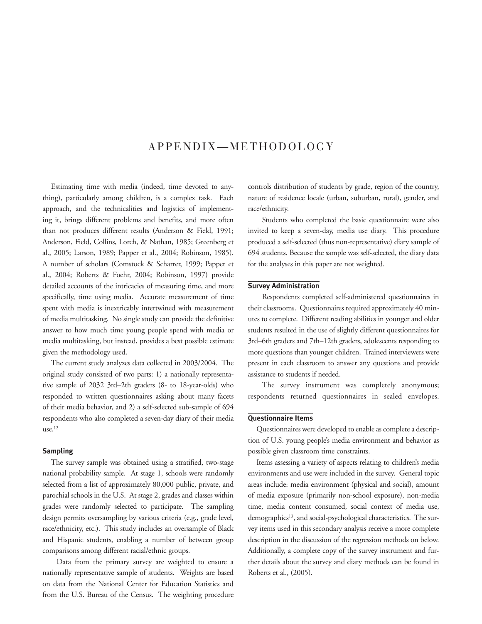## APPENDIX-METHODOLOGY

Estimating time with media (indeed, time devoted to anything), particularly among children, is a complex task. Each approach, and the technicalities and logistics of implementing it, brings different problems and benefits, and more often than not produces different results (Anderson & Field, 1991; Anderson, Field, Collins, Lorch, & Nathan, 1985; Greenberg et al., 2005; Larson, 1989; Papper et al., 2004; Robinson, 1985). A number of scholars (Comstock & Scharrer, 1999; Papper et al., 2004; Roberts & Foehr, 2004; Robinson, 1997) provide detailed accounts of the intricacies of measuring time, and more specifically, time using media. Accurate measurement of time spent with media is inextricably intertwined with measurement of media multitasking. No single study can provide the definitive answer to how much time young people spend with media or media multitasking, but instead, provides a best possible estimate given the methodology used.

The current study analyzes data collected in 2003/2004. The original study consisted of two parts: 1) a nationally representative sample of 2032 3rd–2th graders (8- to 18-year-olds) who responded to written questionnaires asking about many facets of their media behavior, and 2) a self-selected sub-sample of 694 respondents who also completed a seven-day diary of their media use.12

### **Sampling**

The survey sample was obtained using a stratified, two-stage national probability sample. At stage 1, schools were randomly selected from a list of approximately 80,000 public, private, and parochial schools in the U.S. At stage 2, grades and classes within grades were randomly selected to participate. The sampling design permits oversampling by various criteria (e.g., grade level, race/ethnicity, etc.). This study includes an oversample of Black and Hispanic students, enabling a number of between group comparisons among different racial/ethnic groups.

 Data from the primary survey are weighted to ensure a nationally representative sample of students. Weights are based on data from the National Center for Education Statistics and from the U.S. Bureau of the Census. The weighting procedure controls distribution of students by grade, region of the country, nature of residence locale (urban, suburban, rural), gender, and race/ethnicity.

Students who completed the basic questionnaire were also invited to keep a seven-day, media use diary. This procedure produced a self-selected (thus non-representative) diary sample of 694 students. Because the sample was self-selected, the diary data for the analyses in this paper are not weighted.

### **Survey Administration**

 Respondents completed self-administered questionnaires in their classrooms. Questionnaires required approximately 40 minutes to complete. Different reading abilities in younger and older students resulted in the use of slightly different questionnaires for 3rd–6th graders and 7th–12th graders, adolescents responding to more questions than younger children. Trained interviewers were present in each classroom to answer any questions and provide assistance to students if needed.

 The survey instrument was completely anonymous; respondents returned questionnaires in sealed envelopes. 

#### **Questionnaire Items**

Questionnaires were developed to enable as complete a description of U.S. young people's media environment and behavior as possible given classroom time constraints.

Items assessing a variety of aspects relating to children's media environments and use were included in the survey. General topic areas include: media environment (physical and social), amount of media exposure (primarily non-school exposure), non-media time, media content consumed, social context of media use, demographics<sup>13</sup>, and social-psychological characteristics. The survey items used in this secondary analysis receive a more complete description in the discussion of the regression methods on below. Additionally, a complete copy of the survey instrument and further details about the survey and diary methods can be found in Roberts et al., (2005).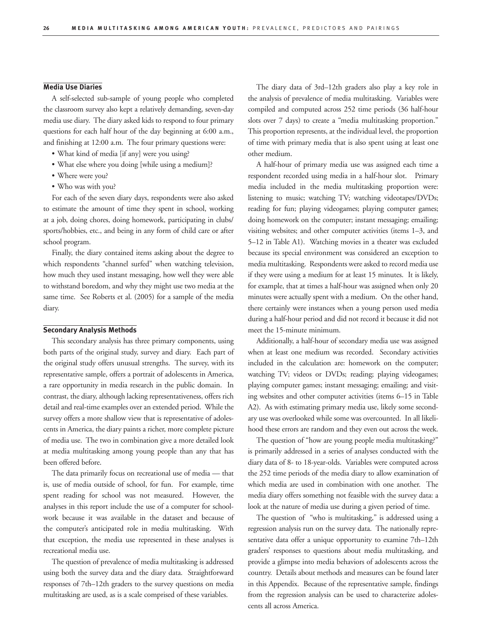### **Media Use Diaries**

A self-selected sub-sample of young people who completed the classroom survey also kept a relatively demanding, seven-day media use diary. The diary asked kids to respond to four primary questions for each half hour of the day beginning at 6:00 a.m., and finishing at 12:00 a.m. The four primary questions were:

- What kind of media [if any] were you using?
- • What else where you doing [while using a medium]?
- Where were you?
- • Who was with you?

For each of the seven diary days, respondents were also asked to estimate the amount of time they spent in school, working at a job, doing chores, doing homework, participating in clubs/ sports/hobbies, etc., and being in any form of child care or after school program.

Finally, the diary contained items asking about the degree to which respondents "channel surfed" when watching television, how much they used instant messaging, how well they were able to withstand boredom, and why they might use two media at the same time. See Roberts et al. (2005) for a sample of the media diary.

#### **Secondary Analysis Methods**

This secondary analysis has three primary components, using both parts of the original study, survey and diary. Each part of the original study offers unusual strengths. The survey, with its representative sample, offers a portrait of adolescents in America, a rare opportunity in media research in the public domain. In contrast, the diary, although lacking representativeness, offers rich detail and real-time examples over an extended period. While the survey offers a more shallow view that is representative of adolescents in America, the diary paints a richer, more complete picture of media use. The two in combination give a more detailed look at media multitasking among young people than any that has been offered before.

The data primarily focus on recreational use of media — that is, use of media outside of school, for fun. For example, time spent reading for school was not measured. However, the analyses in this report include the use of a computer for schoolwork because it was available in the dataset and because of the computer's anticipated role in media multitasking. With that exception, the media use represented in these analyses is recreational media use.

The question of prevalence of media multitasking is addressed using both the survey data and the diary data. Straightforward responses of 7th–12th graders to the survey questions on media multitasking are used, as is a scale comprised of these variables.

The diary data of 3rd–12th graders also play a key role in the analysis of prevalence of media multitasking. Variables were compiled and computed across 252 time periods (36 half-hour slots over 7 days) to create a "media multitasking proportion." This proportion represents, at the individual level, the proportion of time with primary media that is also spent using at least one other medium.

A half-hour of primary media use was assigned each time a respondent recorded using media in a half-hour slot. Primary media included in the media multitasking proportion were: listening to music; watching TV; watching videotapes/DVDs; reading for fun; playing videogames; playing computer games; doing homework on the computer; instant messaging; emailing; visiting websites; and other computer activities (items 1–3, and 5–12 in Table A1). Watching movies in a theater was excluded because its special environment was considered an exception to media multitasking. Respondents were asked to record media use if they were using a medium for at least 15 minutes. It is likely, for example, that at times a half-hour was assigned when only 20 minutes were actually spent with a medium. On the other hand, there certainly were instances when a young person used media during a half-hour period and did not record it because it did not meet the 15-minute minimum.

Additionally, a half-hour of secondary media use was assigned when at least one medium was recorded. Secondary activities included in the calculation are: homework on the computer; watching TV; videos or DVDs; reading; playing videogames; playing computer games; instant messaging; emailing; and visiting websites and other computer activities (items 6–15 in Table A2). As with estimating primary media use, likely some secondary use was overlooked while some was overcounted. In all likelihood these errors are random and they even out across the week.

The question of "how are young people media multitasking?" is primarily addressed in a series of analyses conducted with the diary data of 8- to 18-year-olds. Variables were computed across the 252 time periods of the media diary to allow examination of which media are used in combination with one another. The media diary offers something not feasible with the survey data: a look at the nature of media use during a given period of time.

The question of "who is multitasking," is addressed using a regression analysis run on the survey data. The nationally representative data offer a unique opportunity to examine 7th–12th graders' responses to questions about media multitasking, and provide a glimpse into media behaviors of adolescents across the country. Details about methods and measures can be found later in this Appendix. Because of the representative sample, findings from the regression analysis can be used to characterize adolescents all across America.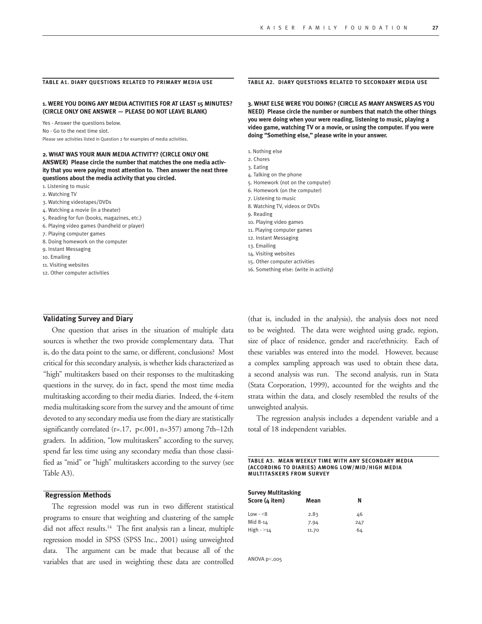#### **Table A1. Diary Questions related to Primary Media Use**

**1. WERE YOU DOING ANY MEDIA ACTIVITIES FOR AT LEAST 15 MINUTES? (CIRCLE ONLY ONE ANSWER — PLEASE DO NOT LEAVE BLANK)**

Yes - Answer the questions below. No - Go to the next time slot. Please see activities listed in Question 2 for examples of media activities.

#### **2. WHAT WAS YOUR MAIN MEDIA ACTIVITY? (CIRCLE ONLY ONE ANSWER) Please circle the number that matches the one media activity that you were paying most attention to. Then answer the next three questions about the media activity that you circled.**

1. Listening to music

- 2. Watching TV
- 3. Watching videotapes/DVDs
- 4. Watching a movie (in a theater)
- 5. Reading for fun (books, magazines, etc.)
- 6. Playing video games (handheld or player)
- 7. Playing computer games
- 8. Doing homework on the computer
- 9. Instant Messaging
- 10. Emailing
- 11. Visiting websites
- 12. Other computer activities

#### **Table A2. Diary Questions related to Secondary Media Use**

**3. WHAT ELSE WERE YOU DOING? (CIRCLE AS MANY ANSWERS AS YOU NEED) Please circle the number or numbers that match the other things you were doing when your were reading, listening to music, playing a video game, watching TV or a movie, or using the computer. If you were doing "Something else," please write in your answer.**

- 1. Nothing else
- 2. Chores
- 3. Eating
- 4. Talking on the phone
- 5. Homework (not on the computer)
- 6. Homework (on the computer)
- 7. Listening to music
- 8. Watching TV, videos or DVDs
- 9. Reading
- 10. Playing video games
- 11. Playing computer games
- 12. Instant Messaging
- 13. Emailing
- 14. Visiting websites
- 15. Other computer activities
- 16. Something else: (write in activity)

#### **Validating Survey and Diary**

One question that arises in the situation of multiple data sources is whether the two provide complementary data. That is, do the data point to the same, or different, conclusions? Most critical for this secondary analysis, is whether kids characterized as "high" multitaskers based on their responses to the multitasking questions in the survey, do in fact, spend the most time media multitasking according to their media diaries. Indeed, the 4-item media multitasking score from the survey and the amount of time devoted to any secondary media use from the diary are statistically significantly correlated (r=.17, p<.001, n=357) among 7th–12th graders. In addition, "low multitaskers" according to the survey, spend far less time using any secondary media than those classified as "mid" or "high" multitaskers according to the survey (see Table A3).

### **Regression Methods**

The regression model was run in two different statistical programs to ensure that weighting and clustering of the sample did not affect results.14 The first analysis ran a linear, multiple regression model in SPSS (SPSS Inc., 2001) using unweighted data. The argument can be made that because all of the variables that are used in weighting these data are controlled (that is, included in the analysis), the analysis does not need to be weighted. The data were weighted using grade, region, size of place of residence, gender and race/ethnicity. Each of these variables was entered into the model. However, because a complex sampling approach was used to obtain these data, a second analysis was run. The second analysis, run in Stata (Stata Corporation, 1999), accounted for the weights and the strata within the data, and closely resembled the results of the unweighted analysis.

The regression analysis includes a dependent variable and a total of 18 independent variables.

**Table A3. Mean weekly time with any secondary media (according to diaries) among low/mid/high media multitaskers from survey**

| <b>Survey Multitasking</b> |       |     |
|----------------------------|-------|-----|
| Score (4 item)             | Mean  | N   |
| $Low - < 8$                | 2.83  | 46  |
| Mid 8-14                   | 7.94  | 247 |
| $High - >14$               | 11.70 | 64  |

ANOVA p<.005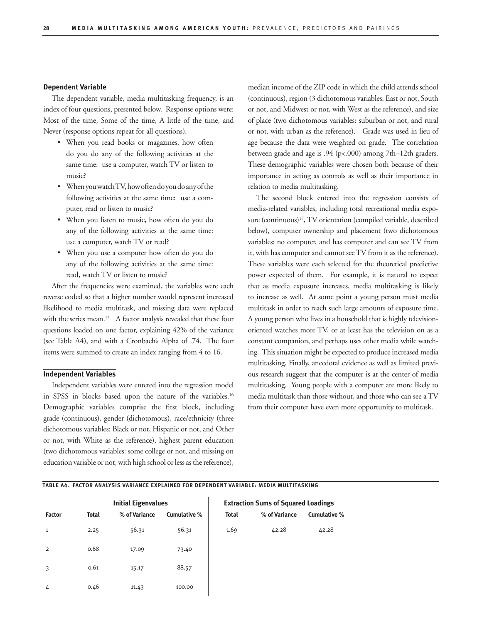#### **Dependent Variable**

The dependent variable, media multitasking frequency, is an index of four questions, presented below. Response options were: Most of the time, Some of the time, A little of the time, and Never (response options repeat for all questions).

- • When you read books or magazines, how often do you do any of the following activities at the same time: use a computer, watch TV or listen to music?
- When you watch TV, how often do you do any of the following activities at the same time: use a computer, read or listen to music?
- • When you listen to music, how often do you do any of the following activities at the same time: use a computer, watch TV or read?
- When you use a computer how often do you do any of the following activities at the same time: read, watch TV or listen to music?

After the frequencies were examined, the variables were each reverse coded so that a higher number would represent increased likelihood to media multitask, and missing data were replaced with the series mean.<sup>15</sup> A factor analysis revealed that these four questions loaded on one factor, explaining 42% of the variance (see Table A4), and with a Cronbach's Alpha of .74. The four items were summed to create an index ranging from 4 to 16.

#### **Independent Variables**

Independent variables were entered into the regression model in SPSS in blocks based upon the nature of the variables.<sup>16</sup> Demographic variables comprise the first block, including grade (continuous), gender (dichotomous), race/ethnicity (three dichotomous variables: Black or not, Hispanic or not, and Other or not, with White as the reference), highest parent education (two dichotomous variables: some college or not, and missing on education variable or not, with high school or less as the reference), median income of the ZIP code in which the child attends school (continuous), region (3 dichotomous variables: East or not, South or not, and Midwest or not, with West as the reference), and size of place (two dichotomous variables: suburban or not, and rural or not, with urban as the reference). Grade was used in lieu of age because the data were weighted on grade. The correlation between grade and age is .94 (p<.000) among 7th–12th graders. These demographic variables were chosen both because of their importance in acting as controls as well as their importance in relation to media multitasking.

The second block entered into the regression consists of media-related variables, including total recreational media exposure (continuous)<sup>17</sup>, TV orientation (compiled variable, described below), computer ownership and placement (two dichotomous variables: no computer, and has computer and can see TV from it, with has computer and cannot seeTV from it as the reference). These variables were each selected for the theoretical predictive power expected of them. For example, it is natural to expect that as media exposure increases, media multitasking is likely to increase as well. At some point a young person must media multitask in order to reach such large amounts of exposure time. A young person who lives in a household that is highly televisionoriented watches more TV, or at least has the television on as a constant companion, and perhaps uses other media while watching. This situation might be expected to produce increased media multitasking. Finally, anecdotal evidence as well as limited previous research suggest that the computer is at the center of media multitasking. Young people with a computer are more likely to media multitask than those without, and those who can see a TV from their computer have even more opportunity to multitask.

### **table A4. Factor Analysis Variance Explained for Dependent Variable: Media Multitasking**

|                |              | <b>Initial Eigenvalues</b> |              | <b>Extraction Sums of Squared Loadings</b> |               |              |  |
|----------------|--------------|----------------------------|--------------|--------------------------------------------|---------------|--------------|--|
| <b>Factor</b>  | <b>Total</b> | % of Variance              | Cumulative % | <b>Total</b>                               | % of Variance | Cumulative % |  |
| $\mathbf{1}$   | 2.25         | 56.31                      | 56.31        | 1.69                                       | 42.28         | 42.28        |  |
| $\overline{2}$ | 0.68         | 17.09                      | 73.40        |                                            |               |              |  |
| 3              | 0.61         | 15.17                      | 88.57        |                                            |               |              |  |
| 4              | 0.46         | 11.43                      | 100.00       |                                            |               |              |  |

## **Extraction Sums of Squared Loadings**

| <b>Total</b> | % of Variance | <b>Cumulative</b> |
|--------------|---------------|-------------------|
| 1.69         | 42.28         | 42.28             |
|              |               |                   |
|              |               |                   |
|              |               |                   |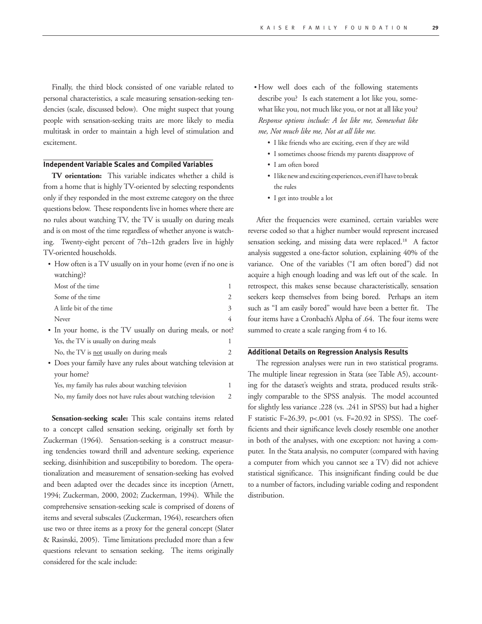Finally, the third block consisted of one variable related to personal characteristics, a scale measuring sensation-seeking tendencies (scale, discussed below). One might suspect that young people with sensation-seeking traits are more likely to media multitask in order to maintain a high level of stimulation and excitement.

### **Independent Variable Scales and Compiled Variables**

**TV orientation:** This variable indicates whether a child is from a home that is highly TV-oriented by selecting respondents only if they responded in the most extreme category on the three questions below. These respondents live in homes where there are no rules about watching TV, the TV is usually on during meals and is on most of the time regardless of whether anyone is watching. Twenty-eight percent of 7th–12th graders live in highly TV-oriented households.

• How often is a TV usually on in your home (even if no one is watching)?

| Most of the time                                           |   |
|------------------------------------------------------------|---|
| Some of the time                                           |   |
| A little bit of the time                                   | 3 |
| Never                                                      |   |
| • In your home, is the TV usually on during meals, or not? |   |

- Yes, the TV is usually on during meals No, the TV is <u>not</u> usually on during meals 2
- • Does your family have any rules about watching television at your home?

| Yes, my family has rules about watching television          |  |
|-------------------------------------------------------------|--|
| No, my family does not have rules about watching television |  |

**Sensation-seeking scale:** This scale contains items related to a concept called sensation seeking, originally set forth by Zuckerman (1964). Sensation-seeking is a construct measuring tendencies toward thrill and adventure seeking, experience seeking, disinhibition and susceptibility to boredom. The operationalization and measurement of sensation-seeking has evolved and been adapted over the decades since its inception (Arnett, 1994; Zuckerman, 2000, 2002; Zuckerman, 1994). While the comprehensive sensation-seeking scale is comprised of dozens of items and several subscales (Zuckerman, 1964), researchers often use two or three items as a proxy for the general concept (Slater & Rasinski, 2005). Time limitations precluded more than a few questions relevant to sensation seeking. The items originally considered for the scale include:

• How well does each of the following statements describe you? Is each statement a lot like you, somewhat like you, not much like you, or not at all like you? *Response options include: A lot like me, Somewhat like me, Not much like me, Not at all like me.*

- • I like friends who are exciting, even if they are wild
- • I sometimes choose friends my parents disapprove of
- • I am often bored
- I like new and exciting experiences, even if I have to break the rules
- • I get into trouble a lot

After the frequencies were examined, certain variables were reverse coded so that a higher number would represent increased sensation seeking, and missing data were replaced.<sup>18</sup> A factor analysis suggested a one-factor solution, explaining 40% of the variance. One of the variables ("I am often bored") did not acquire a high enough loading and was left out of the scale. In retrospect, this makes sense because characteristically, sensation seekers keep themselves from being bored. Perhaps an item such as "I am easily bored" would have been a better fit. The four items have a Cronbach's Alpha of .64. The four items were summed to create a scale ranging from 4 to 16.

### **Additional Details on Regression Analysis Results**

The regression analyses were run in two statistical programs. The multiple linear regression in Stata (see Table A5), accounting for the dataset's weights and strata, produced results strikingly comparable to the SPSS analysis. The model accounted for slightly less variance .228 (vs. .241 in SPSS) but had a higher F statistic F=26.39, p<.001 (vs. F=20.92 in SPSS). The coefficients and their significance levels closely resemble one another in both of the analyses, with one exception: not having a computer. In the Stata analysis, no computer (compared with having a computer from which you cannot see a TV) did not achieve statistical significance. This insignificant finding could be due to a number of factors, including variable coding and respondent distribution.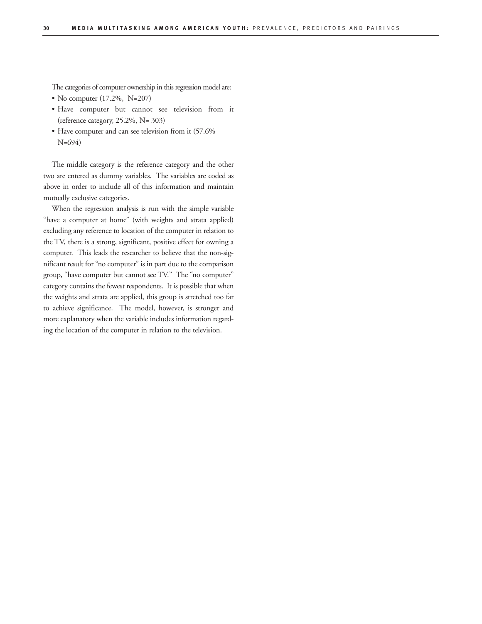The categories of computer ownership in this regression model are:

- • No computer (17.2%, N=207)
- • Have computer but cannot see television from it (reference category, 25.2%, N= 303)
- Have computer and can see television from it (57.6% N=694)

The middle category is the reference category and the other two are entered as dummy variables. The variables are coded as above in order to include all of this information and maintain mutually exclusive categories.

When the regression analysis is run with the simple variable "have a computer at home" (with weights and strata applied) excluding any reference to location of the computer in relation to the TV, there is a strong, significant, positive effect for owning a computer. This leads the researcher to believe that the non-significant result for "no computer" is in part due to the comparison group, "have computer but cannot see TV." The "no computer" category contains the fewest respondents. It is possible that when the weights and strata are applied, this group is stretched too far to achieve significance. The model, however, is stronger and more explanatory when the variable includes information regarding the location of the computer in relation to the television.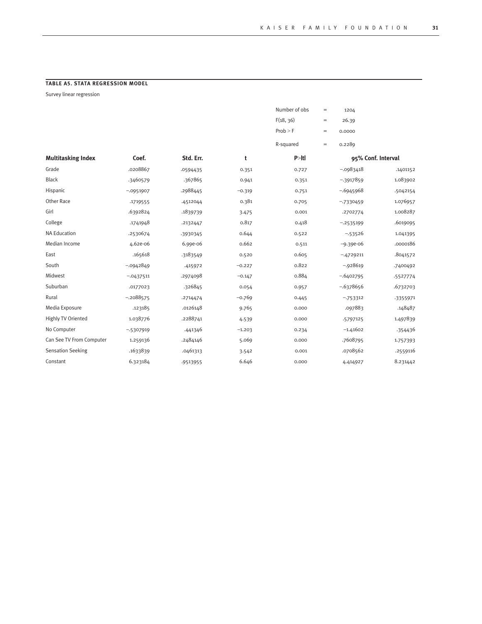## **table A5. Stata Regression Model**

Survey linear regression

|                           |              |           |          | Number of obs | $=$ | 1204               |          |
|---------------------------|--------------|-----------|----------|---------------|-----|--------------------|----------|
|                           |              |           |          | F(18, 36)     | $=$ | 26.39              |          |
|                           |              |           |          | Prob > F      | $=$ | 0.0000             |          |
|                           |              |           |          | R-squared     | $=$ | 0.2289             |          |
| <b>Multitasking Index</b> | Coef.        | Std. Err. | t        | P >  t        |     | 95% Conf. Interval |          |
| Grade                     | .0208867     | .0594435  | 0.351    | 0.727         |     | $-0.0983418$       | .1401152 |
| <b>Black</b>              | .3460579     | .367865   | 0.941    | 0.351         |     | $-3917859$         | 1.083902 |
| Hispanic                  | $-0.0951907$ | .2988445  | $-0.319$ | 0.751         |     | $-6945968$         | .5042154 |
| Other Race                | .1719555     | .4512044  | 0.381    | 0.705         |     | $-7330459$         | 1.076957 |
| Girl                      | .6392824     | .1839739  | 3.475    | 0.001         |     | .2702774           | 1.008287 |
| College                   | .1741948     | .2132447  | 0.817    | 0.418         |     | $-2535199$         | .6019095 |
| <b>NA Education</b>       | .2530674     | -3930345  | 0.644    | 0.522         |     | $-53526$           | 1.041395 |
| Median Income             | 4.62e-06     | 6.99e-06  | 0.662    | 0.511         |     | $-9.39e-06$        | .0000186 |
| East                      | .165618      | .3183549  | 0.520    | 0.605         |     | $-.4729211$        | .8041572 |
| South                     | $-0.0942849$ | .415972   | $-0.227$ | 0.822         |     | $-0.928619$        | .7400492 |
| Midwest                   | $-0437511$   | .2974098  | $-0.147$ | 0.884         |     | $-0.6402795$       | -5527774 |
| Suburban                  | .0177023     | .326845   | 0.054    | 0.957         |     | $-0.6378656$       | .6732703 |
| Rural                     | $-2088575$   | .2714474  | $-0.769$ | 0.445         |     | $-753312$          | -3355971 |
| Media Exposure            | .123185      | .0126148  | 9.765    | 0.000         |     | .097883            | .148487  |
| Highly TV Oriented        | 1.038776     | .2288741  | 4.539    | 0.000         |     | -5797125           | 1.497839 |
| No Computer               | $-5307919$   | .441346   | $-1.203$ | 0.234         |     | $-1.41602$         | .354436  |
| Can See TV From Computer  | 1.259136     | .2484146  | 5.069    | 0.000         |     | .7608795           | 1.757393 |
| <b>Sensation Seeking</b>  | .1633839     | .0461313  | 3.542    | 0.001         |     | .0708562           | .2559116 |
| Constant                  | 6.323184     | .9513955  | 6.646    | 0.000         |     | 4.414927           | 8.231442 |
|                           |              |           |          |               |     |                    |          |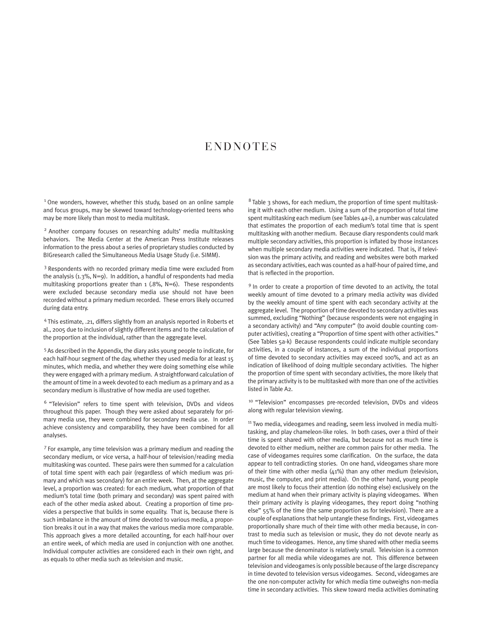## **ENDNOTES**

<sup>1</sup> One wonders, however, whether this study, based on an online sample and focus groups, may be skewed toward technology-oriented teens who may be more likely than most to media multitask.

2 Another company focuses on researching adults' media multitasking behaviors. The Media Center at the American Press Institute releases information to the press about a series of proprietary studies conducted by BIGresearch called the Simultaneous Media Usage Study (i.e. SIMM).

<sup>3</sup> Respondents with no recorded primary media time were excluded from the analysis  $(1.3\%, N=9)$ . In addition, a handful of respondents had media multitasking proportions greater than 1 (.8%, N=6). These respondents were excluded because secondary media use should not have been recorded without a primary medium recorded. These errors likely occurred during data entry.

4 This estimate, .21, differs slightly from an analysis reported in Roberts et al., 2005 due to inclusion of slightly different items and to the calculation of the proportion at the individual, rather than the aggregate level.

5 As described in the Appendix, the diary asks young people to indicate, for each half-hour segment of the day, whether they used media for at least 15 minutes, which media, and whether they were doing something else while they were engaged with a primary medium. A straightforward calculation of the amount of time in a week devoted to each medium as a primary and as a secondary medium is illustrative of how media are used together.

6 "Television" refers to time spent with television, DVDs and videos throughout this paper. Though they were asked about separately for primary media use, they were combined for secondary media use. In order achieve consistency and comparability, they have been combined for all analyses.

7 For example, any time television was a primary medium and reading the secondary medium, or vice versa, a half-hour of television/reading media multitasking was counted. These pairs were then summed for a calculation of total time spent with each pair (regardless of which medium was primary and which was secondary) for an entire week. Then, at the aggregate level, a proportion was created: for each medium, what proportion of that medium's total time (both primary and secondary) was spent paired with each of the other media asked about. Creating a proportion of time provides a perspective that builds in some equality. That is, because there is such imbalance in the amount of time devoted to various media, a proportion breaks it out in a way that makes the various media more comparable. This approach gives a more detailed accounting, for each half-hour over an entire week, of which media are used in conjunction with one another. Individual computer activities are considered each in their own right, and as equals to other media such as television and music.

 $8$  Table 3 shows, for each medium, the proportion of time spent multitasking it with each other medium. Using a sum of the proportion of total time spent multitasking each medium (see Tables 4a-i), a number was calculated that estimates the proportion of each medium's total time that is spent multitasking with another medium. Because diary respondents could mark multiple secondary activities, this proportion is inflated by those instances when multiple secondary media activities were indicated. That is, if television was the primary activity, and reading and websites were both marked as secondary activities, each was counted as a half-hour of paired time, and that is reflected in the proportion.

<sup>9</sup> In order to create a proportion of time devoted to an activity, the total weekly amount of time devoted to a primary media activity was divided by the weekly amount of time spent with each secondary activity at the aggregate level. The proportion of time devoted to secondary activities was summed, excluding "Nothing" (because respondents were not engaging in a secondary activity) and "Any computer" (to avoid double counting computer activities), creating a "Proportion of time spent with other activities." (See Tables 5a-k) Because respondents could indicate multiple secondary activities, in a couple of instances, a sum of the individual proportions of time devoted to secondary activities may exceed 100%, and act as an indication of likelihood of doing multiple secondary activities. The higher the proportion of time spent with secondary activities, the more likely that the primary activity is to be multitasked with more than one of the activities listed in Table A2.

<sup>10</sup> "Television" encompasses pre-recorded television, DVDs and videos along with regular television viewing.

<sup>11</sup> Two media, videogames and reading, seem less involved in media multitasking, and play chameleon-like roles. In both cases, over a third of their time is spent shared with other media, but because not as much time is devoted to either medium, neither are common pairs for other media. The case of videogames requires some clarification. On the surface, the data appear to tell contradicting stories. On one hand, videogames share more of their time with other media (41%) than any other medium (television, music, the computer, and print media). On the other hand, young people are most likely to focus their attention (do nothing else) exclusively on the medium at hand when their primary activity is playing videogames. When their primary activity is playing videogames, they report doing "nothing else" 55% of the time (the same proportion as for television). There are a couple of explanations that help untangle these findings. First, videogames proportionally share much of their time with other media because, in contrast to media such as television or music, they do not devote nearly as much time to videogames. Hence, any time shared with other media seems large because the denominator is relatively small. Television is a common partner for all media while videogames are not. This difference between television and videogames is only possible because of the large discrepancy in time devoted to television versus videogames. Second, videogames are the one non-computer activity for which media time outweighs non-media time in secondary activities. This skew toward media activities dominating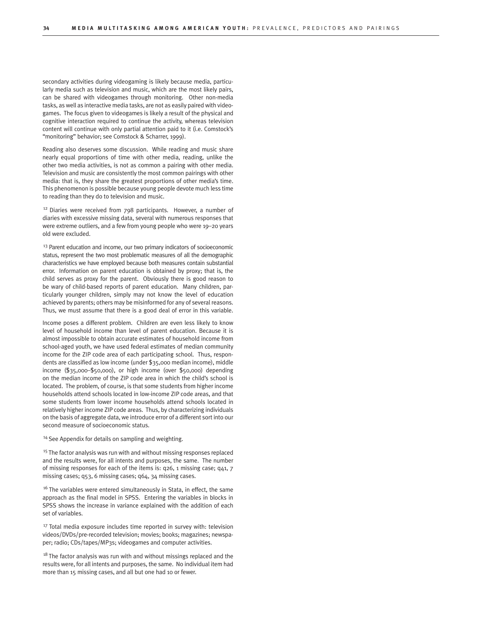secondary activities during videogaming is likely because media, particularly media such as television and music, which are the most likely pairs, can be shared with videogames through monitoring. Other non-media tasks, as well as interactive media tasks, are not as easily paired with videogames. The focus given to videogames is likely a result of the physical and cognitive interaction required to continue the activity, whereas television content will continue with only partial attention paid to it (i.e. Comstock's "monitoring" behavior; see Comstock & Scharrer, 1999).

Reading also deserves some discussion. While reading and music share nearly equal proportions of time with other media, reading, unlike the other two media activities, is not as common a pairing with other media. Television and music are consistently the most common pairings with other media: that is, they share the greatest proportions of other media's time. This phenomenon is possible because young people devote much less time to reading than they do to television and music.

 $12$  Diaries were received from  $798$  participants. However, a number of diaries with excessive missing data, several with numerous responses that were extreme outliers, and a few from young people who were 19–20 years old were excluded.

<sup>13</sup> Parent education and income, our two primary indicators of socioeconomic status, represent the two most problematic measures of all the demographic characteristics we have employed because both measures contain substantial error. Information on parent education is obtained by proxy; that is, the child serves as proxy for the parent. Obviously there is good reason to be wary of child-based reports of parent education. Many children, particularly younger children, simply may not know the level of education achieved by parents; others may be misinformed for any of several reasons. Thus, we must assume that there is a good deal of error in this variable.

Income poses a different problem. Children are even less likely to know level of household income than level of parent education. Because it is almost impossible to obtain accurate estimates of household income from school-aged youth, we have used federal estimates of median community income for the ZIP code area of each participating school. Thus, respondents are classified as low income (under \$35,000 median income), middle income (\$35,000–\$50,000), or high income (over \$50,000) depending on the median income of the ZIP code area in which the child's school is located. The problem, of course, is that some students from higher income households attend schools located in low-income ZIP code areas, and that some students from lower income households attend schools located in relatively higher income ZIP code areas. Thus, by characterizing individuals on the basis of aggregate data, we introduce error of a different sort into our second measure of socioeconomic status.

<sup>14</sup> See Appendix for details on sampling and weighting.

<sup>15</sup> The factor analysis was run with and without missing responses replaced and the results were, for all intents and purposes, the same. The number of missing responses for each of the items is: q26, 1 missing case; q41, 7 missing cases; q53, 6 missing cases; q64, 34 missing cases.

<sup>16</sup> The variables were entered simultaneously in Stata, in effect, the same approach as the final model in SPSS. Entering the variables in blocks in SPSS shows the increase in variance explained with the addition of each set of variables.

<sup>17</sup> Total media exposure includes time reported in survey with: television videos/DVDs/pre-recorded television; movies; books; magazines; newspaper; radio; CDs/tapes/MP3s; videogames and computer activities.

 $18$  The factor analysis was run with and without missings replaced and the results were, for all intents and purposes, the same. No individual item had more than 15 missing cases, and all but one had 10 or fewer.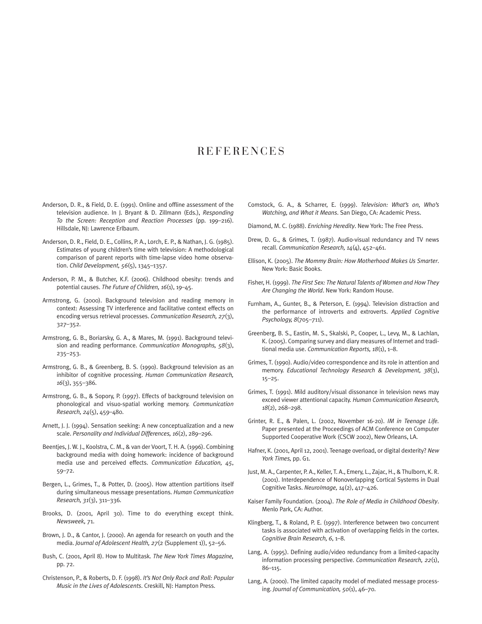## **REFERENCES**

- Anderson, D. R., & Field, D. E. (1991). Online and offline assessment of the television audience. In J. Bryant & D. Zillmann (Eds.), *Responding To the Screen: Reception and Reaction Processes* (pp. 199–216). Hillsdale, NJ: Lawrence Erlbaum.
- Anderson, D. R., Field, D. E., Collins, P. A., Lorch, E. P., & Nathan, J. G. (1985). Estimates of young children's time with television: A methodological comparison of parent reports with time-lapse video home observation. *Child Development, 56*(5), 1345–1357.
- Anderson, P. M., & Butcher, K.F. (2006). Childhood obesity: trends and potential causes. *The Future of Children, 16*(1), 19–45.
- Armstrong, G. (2000). Background television and reading memory in context: Assessing TV interference and facilitative context effects on encoding versus retrieval processes. *Communication Research, 27*(3), 327–352.
- Armstrong, G. B., Boriarsky, G. A., & Mares, M. (1991). Background television and reading performance. *Communication Monographs, 58*(3), 235–253.
- Armstrong, G. B., & Greenberg, B. S. (1990). Background television as an inhibitor of cognitive processing. *Human Communication Research, 16*(3), 355–386.
- Armstrong, G. B., & Sopory, P. (1997). Effects of background television on phonological and visuo-spatial working memory. *Communication Research, 24*(5), 459–480.
- Arnett, J. J. (1994). Sensation seeking: A new conceptualization and a new scale. *Personality and Individual Differences, 16*(2), 289–296.
- Beentjes, J. W. J., Koolstra, C. M., & van der Voort, T. H. A. (1996). Combining background media with doing homework: incidence of background media use and perceived effects. *Communication Education, 45*, 59–72.
- Bergen, L., Grimes, T., & Potter, D. (2005). How attention partitions itself during simultaneous message presentations. *Human Communication Research, 31*(3), 311–336.
- Brooks, D. (2001, April 30). Time to do everything except think. *Newsweek,* 71.
- Brown, J. D., & Cantor, J. (2000). An agenda for research on youth and the media. *Journal of Adolescent Health, 27*(2 (Supplement 1)), 52–56.
- Bush, C. (2001, April 8). How to Multitask*. The New York Times Magazine,* pp. 72.
- Christenson, P., & Roberts, D. F. (1998). *It's Not Only Rock and Roll: Popular Music in the Lives of Adolescents*. Creskill, NJ: Hampton Press.
- Comstock, G. A., & Scharrer, E. (1999). *Television: What's on, Who's Watching, and What it Means*. San Diego, CA: Academic Press.
- Diamond, M. C. (1988). *Enriching Heredity*. New York: The Free Press.
- Drew, D. G., & Grimes, T. (1987). Audio-visual redundancy and TV news recall. *Communication Research, 14*(4), 452–461.
- Ellison, K. (2005). *The Mommy Brain: How Motherhood Makes Us Smarter*. New York: Basic Books.
- Fisher, H. (1999). *The First Sex: The Natural Talents of Women and How They Are Changing the World*. New York: Random House.
- Furnham, A., Gunter, B., & Peterson, E. (1994). Television distraction and the performance of introverts and extroverts. *Applied Cognitive Psychology, 8*(705–711).
- Greenberg, B. S., Eastin, M. S., Skalski, P., Cooper, L., Levy, M., & Lachlan, K. (2005). Comparing survey and diary measures of Internet and traditional media use. *Communication Reports, 18*(1), 1–8.
- Grimes, T. (1990). Audio/video correspondence and its role in attention and memory. *Educational Technology Research & Development, 38*(3), 15–25.
- Grimes, T. (1991). Mild auditory/visual dissonance in television news may exceed viewer attentional capacity. *Human Communication Research, 18*(2), 268–298.
- Grinter, R. E., & Palen, L. (2002, November 16-20). *IM in Teenage Life.* Paper presented at the Proceedings of ACM Conference on Computer Supported Cooperative Work (CSCW 2002), New Orleans, LA.
- Hafner, K. (2001, April 12, 2001). Teenage overload, or digital dexterity? *New York Times,* pp. G1.
- Just, M. A., Carpenter, P. A., Keller, T. A., Emery, L., Zajac, H., & Thulborn, K. R. (2001). Interdependence of Nonoverlapping Cortical Systems in Dual Cognitive Tasks. *NeuroImage, 14*(2), 417–426.
- Kaiser Family Foundation. (2004). *The Role of Media in Childhood Obesity*. Menlo Park, CA: Author.
- Klingberg, T., & Roland, P. E. (1997). Interference between two concurrent tasks is associated with activation of overlapping fields in the cortex. *Cognitive Brain Research, 6*, 1–8.
- Lang, A. (1995). Defining audio/video redundancy from a limited-capacity information processing perspective. *Communication Research, 22*(1), 86–115.
- Lang, A. (2000). The limited capacity model of mediated message processing. *Journal of Communication, 50*(1), 46–70.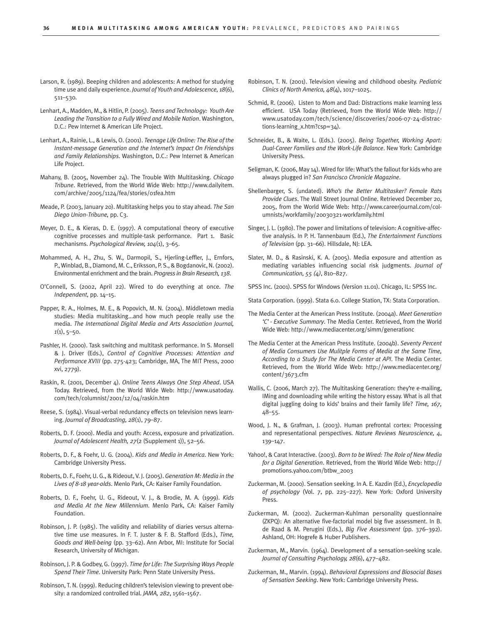- Larson, R. (1989). Beeping children and adolescents: A method for studying time use and daily experience. *Journal of Youth and Adolescence, 18*(6), 511–530.
- Lenhart, A., Madden, M., & Hitlin, P. (2005). *Teens and Technology: Youth Are Leading the Transition to a Fully Wired and Mobile Nation*. Washington, D.C.: Pew Internet & American Life Project.
- Lenhart, A., Rainie, L., & Lewis, O. (2001). *Teenage Life Online: The Rise of the Instant-message Generation and the Internet's Impact On Friendships and Family Relationships*. Washington, D.C.: Pew Internet & American Life Project.
- Mahany, B. (2005, November 24). The Trouble With Multitasking. *Chicago Tribune*. Retrieved, from the World Wide Web: http://www.dailyitem. com/archive/2005/1124/fea/stories/01fea.htm
- Meade, P. (2003, January 20). Multitasking helps you to stay ahead*. The San Diego Union-Tribune,* pp. C3.
- Meyer, D. E., & Kieras, D. E. (1997). A computational theory of executive cognitive processes and multiple-task performance. Part 1. Basic mechanisms. *Psychological Review, 104*(1), 3–65.
- Mohammed, A. H., Zhu, S. W., Darmopil, S., Hjerling-Leffler, J., Ernfors, P., Winblad, B., Diamond, M. C., Eriksson, P. S., & Bogdanovic, N. (2002). Environmental enrichment and the brain. *Progress in Brain Research, 138*.
- O'Connell, S. (2002, April 22). Wired to do everything at once*. The Independent,* pp. 14–15.
- Papper, R. A., Holmes, M. E., & Popovich, M. N. (2004). Middletown media studies: Media multitasking...and how much people really use the media. *The International Digital Media and Arts Association Journal, 1*(1), 5–50.
- Pashler, H. (2000). Task switching and multitask performance. In S. Monsell & J. Driver (Eds.), *Control of Cognitive Processes: Attention and Performance XVIII* (pp. 275-423; Cambridge, MA, The MIT Press, 2000 xvi, 2779).
- Raskin, R. (2001, December 4). *Online Teens Always One Step Ahead*. USA Today. Retrieved, from the World Wide Web: http://www.usatoday. com/tech/columnist/2001/12/04/raskin.htm
- Reese, S. (1984). Visual-verbal redundancy effects on television news learning. *Journal of Broadcasting, 28*(1), 79–87.
- Roberts, D. F. (2000). Media and youth: Access, exposure and privatization. *Journal of Adolescent Health, 27*(2 (Supplement 1)), 52–56.
- Roberts, D. F., & Foehr, U. G. (2004). *Kids and Media in America*. New York: Cambridge University Press.
- Roberts, D. F., Foehr, U. G., & Rideout, V. J. (2005). *Generation M: Media in the Lives of 8-18 year-olds*. Menlo Park, CA: Kaiser Family Foundation.
- Roberts, D. F., Foehr, U. G., Rideout, V. J., & Brodie, M. A. (1999). *Kids and Media At the New Millennium*. Menlo Park, CA: Kaiser Family Foundation.
- Robinson, J. P. (1985). The validity and reliability of diaries versus alternative time use measures. In F. T. Juster & F. B. Stafford (Eds.), *Time, Goods and Well-being* (pp. 33–62). Ann Arbor, MI: Institute for Social Research, University of Michigan.
- Robinson, J. P. & Godbey, G. (1997). *Time for Life: The Surprising Ways People Spend Their Time*. University Park: Penn State University Press.
- Robinson, T. N. (1999). Reducing children's television viewing to prevent obesity: a randomized controlled trial. *JAMA, 282*, 1561–1567.
- Robinson, T. N. (2001). Television viewing and childhood obesity. *Pediatric Clinics of North America, 48*(4), 1017–1025.
- Schmid, R. (2006). Listen to Mom and Dad: Distractions make learning less efficient. USA Today (Retrieved, from the World Wide Web: http:// www.usatoday.com/tech/science/discoveries/2006-07-24-distractions-learning\_x.htm?csp=34).
- Schneider, B., & Waite, L. (Eds.). (2005). *Being Together, Working Apart: Dual-Career Families and the Work-Life Balance*. New York: Cambridge University Press.
- Seligman, K. (2006, May 14). Wired for life: What's the fallout for kids who are always plugged in? *San Francisco Chronicle Magazine*.
- Shellenbarger, S. (undated). *Who's the Better Multitasker? Female Rats Provide Clues*. The Wall Street Journal Online. Retrieved December 20, 2005, from the World Wide Web: http://www.careerjournal.com/columnists/workfamily/20030321-workfamily.html
- Singer, J. L. (1980). The power and limitations of television: A cognitive-affective analysis. In P. H. Tannenbaum (Ed.), *The Entertainment Functions of Television* (pp. 31–66). Hillsdale, NJ: LEA.
- Slater, M. D., & Rasinski, K. A. (2005). Media exposure and attention as mediating variables influencing social risk judgments. *Journal of Communication, 55 (4)*, 810–827.
- SPSS Inc. (2001). SPSS for Windows (Version 11.01). Chicago, IL: SPSS Inc.
- Stata Corporation. (1999). Stata 6.0. College Station, TX: Stata Corporation.
- The Media Center at the American Press Institute. (2004a). *Meet Generation 'C' - Executive Summary*. The Media Center. Retrieved, from the World Wide Web: http://www.mediacenter.org/simm/generationc
- The Media Center at the American Press Institute. (2004b). *Seventy Percent of Media Consumers Use Mulitple Forms of Media at the Same Time, According to a Study for The Media Center at API*. The Media Center. Retrieved, from the World Wide Web: http://www.mediacenter.org/ content/3673.cfm
- Wallis, C. (2006, March 27). The Multitasking Generation: they're e-mailing, IMing and downloading while writing the history essay. What is all that digital juggling doing to kids' brains and their family life? *Time, 167,* 48–55.
- Wood, J. N., & Grafman, J. (2003). Human prefrontal cortex: Processing and representational perspectives. *Nature Reviews Neuroscience, 4*, 139–147.
- Yahoo!, & Carat Interactive. (2003). *Born to be Wired: The Role of New Media for a Digital Generation*. Retrieved, from the World Wide Web: http:// promotions.yahoo.com/btbw\_2003
- Zuckerman, M. (2000). Sensation seeking. In A. E. Kazdin (Ed.), *Encyclopedia of psychology* (Vol. 7, pp. 225–227). New York: Oxford University Press.
- Zuckerman, M. (2002). Zuckerman-Kuhlman personality questionnaire (ZKPQ): An alternative five-factorial model big five assessment. In B. de Raad & M. Perugini (Eds.), *Big Five Assessment* (pp. 376–392). Ashland, OH: Hogrefe & Huber Publishers.
- Zuckerman, M., Marvin. (1964). Development of a sensation-seeking scale. *Journal of Consulting Psychology, 28*(6), 477–482.
- Zuckerman, M., Marvin. (1994). *Behavioral Expressions and Biosocial Bases of Sensation Seeking*. New York: Cambridge University Press.